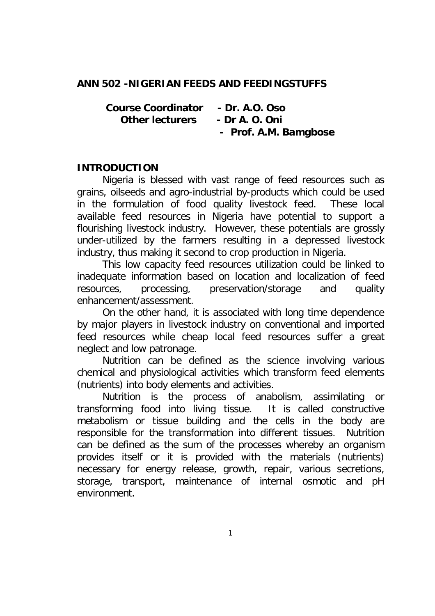#### **ANN 502 -NIGERIAN FEEDS AND FEEDINGSTUFFS**

 **Course Coordinator - Dr. A.O. Oso Other lecturers - Dr A. O. Oni - Prof. A.M. Bamgbose**

#### **INTRODUCTION**

Nigeria is blessed with vast range of feed resources such as grains, oilseeds and agro-industrial by-products which could be used in the formulation of food quality livestock feed. These local available feed resources in Nigeria have potential to support a flourishing livestock industry. However, these potentials are grossly under-utilized by the farmers resulting in a depressed livestock industry, thus making it second to crop production in Nigeria.

This low capacity feed resources utilization could be linked to inadequate information based on location and localization of feed resources, processing, preservation/storage and quality enhancement/assessment.

On the other hand, it is associated with long time dependence by major players in livestock industry on conventional and imported feed resources while cheap local feed resources suffer a great neglect and low patronage.

Nutrition can be defined as the science involving various chemical and physiological activities which transform feed elements (nutrients) into body elements and activities.

Nutrition is the process of anabolism, assimilating or transforming food into living tissue. It is called constructive metabolism or tissue building and the cells in the body are responsible for the transformation into different tissues. Nutrition can be defined as the sum of the processes whereby an organism provides itself or it is provided with the materials (nutrients) necessary for energy release, growth, repair, various secretions, storage, transport, maintenance of internal osmotic and pH environment.

1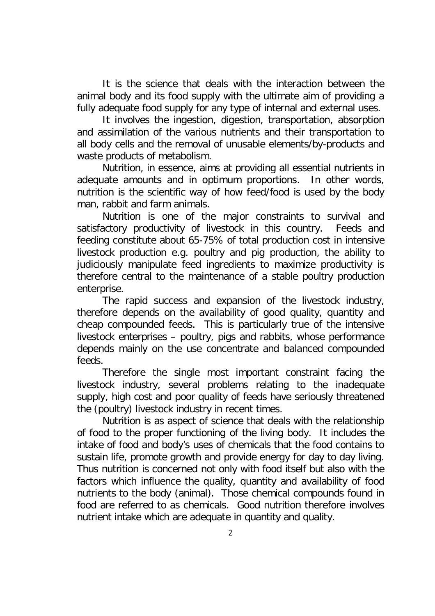It is the science that deals with the interaction between the animal body and its food supply with the ultimate aim of providing a fully adequate food supply for any type of internal and external uses.

It involves the ingestion, digestion, transportation, absorption and assimilation of the various nutrients and their transportation to all body cells and the removal of unusable elements/by-products and waste products of metabolism.

Nutrition, in essence, aims at providing all essential nutrients in adequate amounts and in optimum proportions. In other words, nutrition is the scientific way of how feed/food is used by the body man, rabbit and farm animals.

Nutrition is one of the major constraints to survival and satisfactory productivity of livestock in this country. Feeds and feeding constitute about 65-75% of total production cost in intensive livestock production e.g. poultry and pig production, the ability to judiciously manipulate feed ingredients to maximize productivity is therefore central to the maintenance of a stable poultry production enterprise.

The rapid success and expansion of the livestock industry, therefore depends on the availability of good quality, quantity and cheap compounded feeds. This is particularly true of the intensive livestock enterprises – poultry, pigs and rabbits, whose performance depends mainly on the use concentrate and balanced compounded feeds.

Therefore the single most important constraint facing the livestock industry, several problems relating to the inadequate supply, high cost and poor quality of feeds have seriously threatened the (poultry) livestock industry in recent times.

Nutrition is as aspect of science that deals with the relationship of food to the proper functioning of the living body. It includes the intake of food and body's uses of chemicals that the food contains to sustain life, promote growth and provide energy for day to day living. Thus nutrition is concerned not only with food itself but also with the factors which influence the quality, quantity and availability of food nutrients to the body (animal). Those chemical compounds found in food are referred to as chemicals. Good nutrition therefore involves nutrient intake which are adequate in quantity and quality.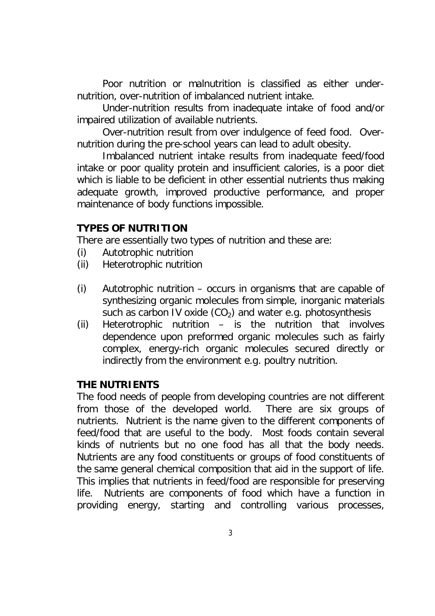Poor nutrition or malnutrition is classified as either undernutrition, over-nutrition of imbalanced nutrient intake.

Under-nutrition results from inadequate intake of food and/or impaired utilization of available nutrients.

Over-nutrition result from over indulgence of feed food. Overnutrition during the pre-school years can lead to adult obesity.

Imbalanced nutrient intake results from inadequate feed/food intake or poor quality protein and insufficient calories, is a poor diet which is liable to be deficient in other essential nutrients thus making adequate growth, improved productive performance, and proper maintenance of body functions impossible.

#### **TYPES OF NUTRITION**

There are essentially two types of nutrition and these are:

- (i) Autotrophic nutrition
- (ii) Heterotrophic nutrition
- (i) Autotrophic nutrition occurs in organisms that are capable of synthesizing organic molecules from simple, inorganic materials such as carbon IV oxide  $(CO<sub>2</sub>)$  and water e.g. photosynthesis
- (ii) Heterotrophic nutrition is the nutrition that involves dependence upon preformed organic molecules such as fairly complex, energy-rich organic molecules secured directly or indirectly from the environment e.g. poultry nutrition.

#### **THE NUTRIENTS**

The food needs of people from developing countries are not different from those of the developed world. There are six groups of nutrients. Nutrient is the name given to the different components of feed/food that are useful to the body. Most foods contain several kinds of nutrients but no one food has all that the body needs. Nutrients are any food constituents or groups of food constituents of the same general chemical composition that aid in the support of life. This implies that nutrients in feed/food are responsible for preserving life. Nutrients are components of food which have a function in providing energy, starting and controlling various processes,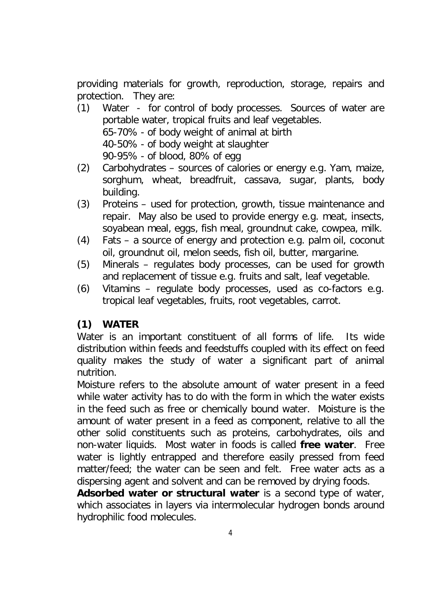providing materials for growth, reproduction, storage, repairs and protection. They are:

- (1) Water for control of body processes. Sources of water are portable water, tropical fruits and leaf vegetables. 65-70% - of body weight of animal at birth 40-50% - of body weight at slaughter 90-95% - of blood, 80% of egg
- (2) Carbohydrates sources of calories or energy e.g. Yam, maize, sorghum, wheat, breadfruit, cassava, sugar, plants, body building.
- (3) Proteins used for protection, growth, tissue maintenance and repair. May also be used to provide energy e.g. meat, insects, soyabean meal, eggs, fish meal, groundnut cake, cowpea, milk.
- (4) Fats a source of energy and protection e.g. palm oil, coconut oil, groundnut oil, melon seeds, fish oil, butter, margarine.
- (5) Minerals regulates body processes, can be used for growth and replacement of tissue e.g. fruits and salt, leaf vegetable.
- (6) Vitamins regulate body processes, used as co-factors e.g. tropical leaf vegetables, fruits, root vegetables, carrot.

# **(1) WATER**

Water is an important constituent of all forms of life. Its wide distribution within feeds and feedstuffs coupled with its effect on feed quality makes the study of water a significant part of animal nutrition.

Moisture refers to the absolute amount of water present in a feed while water activity has to do with the form in which the water exists in the feed such as free or chemically bound water. Moisture is the amount of water present in a feed as component, relative to all the other solid constituents such as proteins, carbohydrates, oils and non-water liquids. Most water in foods is called **free water**. Free water is lightly entrapped and therefore easily pressed from feed matter/feed; the water can be seen and felt. Free water acts as a dispersing agent and solvent and can be removed by drying foods.

**Adsorbed water or structural water** is a second type of water, which associates in layers via intermolecular hydrogen bonds around hydrophilic food molecules.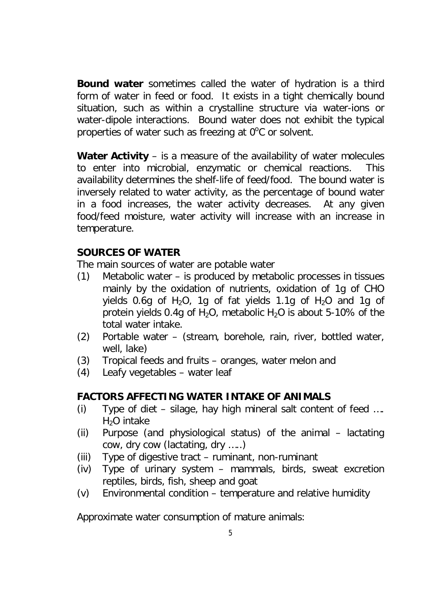**Bound water** sometimes called the water of hydration is a third form of water in feed or food. It exists in a tight chemically bound situation, such as within a crystalline structure via water-ions or water-dipole interactions. Bound water does not exhibit the typical properties of water such as freezing at  $0^{\circ}$ C or solvent.

**Water Activity** – is a measure of the availability of water molecules to enter into microbial, enzymatic or chemical reactions. This availability determines the shelf-life of feed/food. The bound water is inversely related to water activity, as the percentage of bound water in a food increases, the water activity decreases. At any given food/feed moisture, water activity will increase with an increase in temperature.

#### **SOURCES OF WATER**

The main sources of water are potable water

- (1) Metabolic water is produced by metabolic processes in tissues mainly by the oxidation of nutrients, oxidation of 1g of CHO yields 0.6g of H<sub>2</sub>O, 1g of fat yields 1.1g of H<sub>2</sub>O and 1g of protein yields 0.4g of H<sub>2</sub>O, metabolic H<sub>2</sub>O is about 5-10% of the total water intake.
- (2) Portable water (stream, borehole, rain, river, bottled water, well, lake)
- (3) Tropical feeds and fruits oranges, water melon and
- (4) Leafy vegetables water leaf

#### **FACTORS AFFECTING WATER INTAKE OF ANIMALS**

- (i) Type of diet silage, hay high mineral salt content of feed ….  $H<sub>2</sub>O$  intake
- (ii) Purpose (and physiological status) of the animal lactating cow, dry cow (lactating, dry …..)
- (iii) Type of digestive tract ruminant, non-ruminant
- (iv) Type of urinary system mammals, birds, sweat excretion reptiles, birds, fish, sheep and goat
- (v) Environmental condition temperature and relative humidity

Approximate water consumption of mature animals: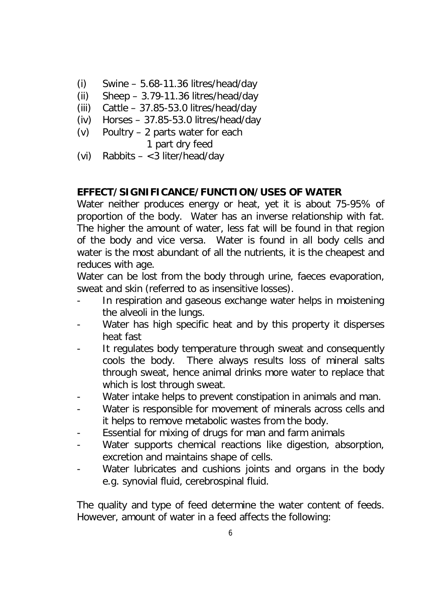- $(i)$  Swine 5.68-11.36 litres/head/day
- (ii) Sheep  $-3.79-11.36$  litres/head/day
- (iii) Cattle 37.85-53.0 litres/head/day
- (iv) Horses 37.85-53.0 litres/head/day
- (v) Poultry 2 parts water for each
	- 1 part dry feed
- (vi) Rabbits <3 liter/head/day

#### **EFFECT/SIGNIFICANCE/FUNCTION/USES OF WATER**

Water neither produces energy or heat, yet it is about 75-95% of proportion of the body. Water has an inverse relationship with fat. The higher the amount of water, less fat will be found in that region of the body and vice versa. Water is found in all body cells and water is the most abundant of all the nutrients, it is the cheapest and reduces with age.

Water can be lost from the body through urine, faeces evaporation, sweat and skin (referred to as insensitive losses).

- In respiration and gaseous exchange water helps in moistening the alveoli in the lungs.
- Water has high specific heat and by this property it disperses heat fast
- It regulates body temperature through sweat and consequently cools the body. There always results loss of mineral salts through sweat, hence animal drinks more water to replace that which is lost through sweat.
- Water intake helps to prevent constipation in animals and man.
- Water is responsible for movement of minerals across cells and it helps to remove metabolic wastes from the body.
- Essential for mixing of drugs for man and farm animals
- Water supports chemical reactions like digestion, absorption, excretion and maintains shape of cells.
- Water lubricates and cushions joints and organs in the body e.g. synovial fluid, cerebrospinal fluid.

The quality and type of feed determine the water content of feeds. However, amount of water in a feed affects the following: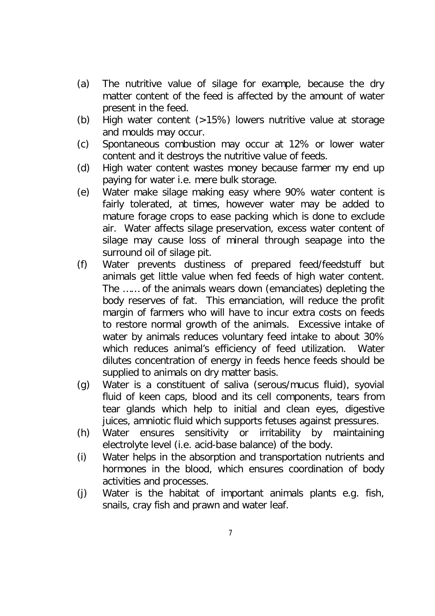- (a) The nutritive value of silage for example, because the dry matter content of the feed is affected by the amount of water present in the feed.
- (b) High water content (>15%) lowers nutritive value at storage and moulds may occur.
- (c) Spontaneous combustion may occur at 12% or lower water content and it destroys the nutritive value of feeds.
- (d) High water content wastes money because farmer my end up paying for water i.e. mere bulk storage.
- (e) Water make silage making easy where 90% water content is fairly tolerated, at times, however water may be added to mature forage crops to ease packing which is done to exclude air. Water affects silage preservation, excess water content of silage may cause loss of mineral through seapage into the surround oil of silage pit.
- (f) Water prevents dustiness of prepared feed/feedstuff but animals get little value when fed feeds of high water content. The …… of the animals wears down (emanciates) depleting the body reserves of fat. This emanciation, will reduce the profit margin of farmers who will have to incur extra costs on feeds to restore normal growth of the animals. Excessive intake of water by animals reduces voluntary feed intake to about 30% which reduces animal's efficiency of feed utilization. Water dilutes concentration of energy in feeds hence feeds should be supplied to animals on dry matter basis.
- (g) Water is a constituent of saliva (serous/mucus fluid), syovial fluid of keen caps, blood and its cell components, tears from tear glands which help to initial and clean eyes, digestive juices, amniotic fluid which supports fetuses against pressures.
- (h) Water ensures sensitivity or irritability by maintaining electrolyte level (i.e. acid-base balance) of the body.
- (i) Water helps in the absorption and transportation nutrients and hormones in the blood, which ensures coordination of body activities and processes.
- (j) Water is the habitat of important animals plants e.g. fish, snails, cray fish and prawn and water leaf.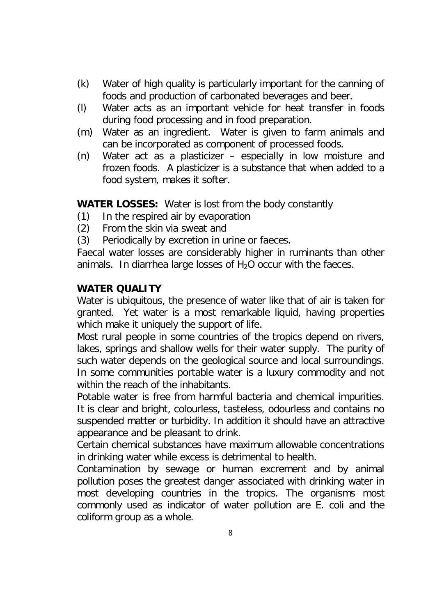- (k) Water of high quality is particularly important for the canning of foods and production of carbonated beverages and beer.
- (l) Water acts as an important vehicle for heat transfer in foods during food processing and in food preparation.
- (m) Water as an ingredient. Water is given to farm animals and can be incorporated as component of processed foods.
- (n) Water act as a plasticizer especially in low moisture and frozen foods. A plasticizer is a substance that when added to a food system, makes it softer.

#### **WATER LOSSES:** Water is lost from the body constantly

- (1) In the respired air by evaporation
- (2) From the skin via sweat and
- (3) Periodically by excretion in urine or faeces.

Faecal water losses are considerably higher in ruminants than other animals. In diarrhea large losses of  $H_2O$  occur with the faeces.

#### **WATER QUALITY**

Water is ubiquitous, the presence of water like that of air is taken for granted. Yet water is a most remarkable liquid, having properties which make it uniquely the support of life.

Most rural people in some countries of the tropics depend on rivers, lakes, springs and shallow wells for their water supply. The purity of such water depends on the geological source and local surroundings. In some communities portable water is a luxury commodity and not within the reach of the inhabitants.

Potable water is free from harmful bacteria and chemical impurities. It is clear and bright, colourless, tasteless, odourless and contains no suspended matter or turbidity. In addition it should have an attractive appearance and be pleasant to drink.

Certain chemical substances have maximum allowable concentrations in drinking water while excess is detrimental to health.

Contamination by sewage or human excrement and by animal pollution poses the greatest danger associated with drinking water in most developing countries in the tropics. The organisms most commonly used as indicator of water pollution are E. coli and the coliform group as a whole.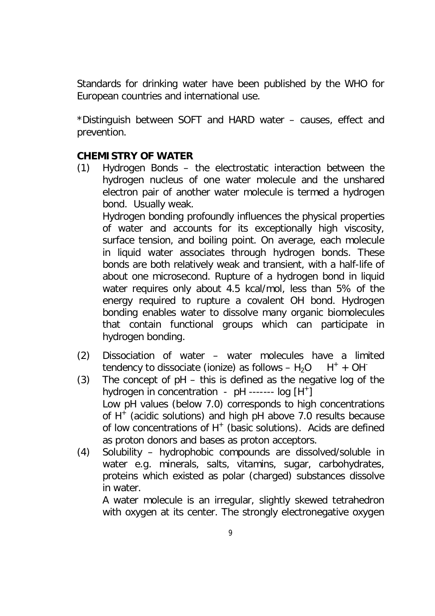Standards for drinking water have been published by the WHO for European countries and international use.

\*Distinguish between SOFT and HARD water – causes, effect and prevention.

#### **CHEMISTRY OF WATER**

(1) Hydrogen Bonds – the electrostatic interaction between the hydrogen nucleus of one water molecule and the unshared electron pair of another water molecule is termed a hydrogen bond. Usually weak.

Hydrogen bonding profoundly influences the physical properties of water and accounts for its exceptionally high viscosity, surface tension, and boiling point. On average, each molecule in liquid water associates through hydrogen bonds. These bonds are both relatively weak and transient, with a half-life of about one microsecond. Rupture of a hydrogen bond in liquid water requires only about 4.5 kcal/mol, less than 5% of the energy required to rupture a covalent OH bond. Hydrogen bonding enables water to dissolve many organic biomolecules that contain functional groups which can participate in hydrogen bonding.

- (2) Dissociation of water water molecules have a limited tendency to dissociate (ionize) as follows  $- H_2O + H^+ + OH^-$
- (3) The concept of pH this is defined as the negative log of the hydrogen in concentration - pH ------- log [H<sup>+</sup>] Low pH values (below 7.0) corresponds to high concentrations of  $H^+$  (acidic solutions) and high pH above 7.0 results because of low concentrations of H<sup>+</sup> (basic solutions). Acids are defined as proton donors and bases as proton acceptors.
- (4) Solubility hydrophobic compounds are dissolved/soluble in water e.g. minerals, salts, vitamins, sugar, carbohydrates, proteins which existed as polar (charged) substances dissolve in water.

A water molecule is an irregular, slightly skewed tetrahedron with oxygen at its center. The strongly electronegative oxygen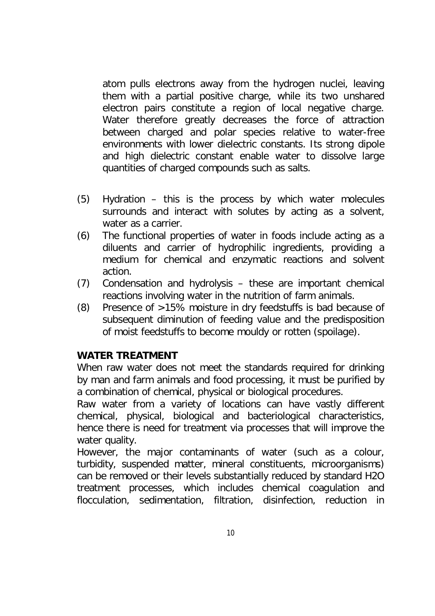atom pulls electrons away from the hydrogen nuclei, leaving them with a partial positive charge, while its two unshared electron pairs constitute a region of local negative charge. Water therefore greatly decreases the force of attraction between charged and polar species relative to water-free environments with lower dielectric constants. Its strong dipole and high dielectric constant enable water to dissolve large quantities of charged compounds such as salts.

- (5) Hydration this is the process by which water molecules surrounds and interact with solutes by acting as a solvent, water as a carrier.
- (6) The functional properties of water in foods include acting as a diluents and carrier of hydrophilic ingredients, providing a medium for chemical and enzymatic reactions and solvent action.
- (7) Condensation and hydrolysis these are important chemical reactions involving water in the nutrition of farm animals.
- (8) Presence of >15% moisture in dry feedstuffs is bad because of subsequent diminution of feeding value and the predisposition of moist feedstuffs to become mouldy or rotten (spoilage).

#### **WATER TREATMENT**

When raw water does not meet the standards required for drinking by man and farm animals and food processing, it must be purified by a combination of chemical, physical or biological procedures.

Raw water from a variety of locations can have vastly different chemical, physical, biological and bacteriological characteristics, hence there is need for treatment via processes that will improve the water quality.

However, the major contaminants of water (such as a colour, turbidity, suspended matter, mineral constituents, microorganisms) can be removed or their levels substantially reduced by standard H2O treatment processes, which includes chemical coagulation and flocculation, sedimentation, filtration, disinfection, reduction in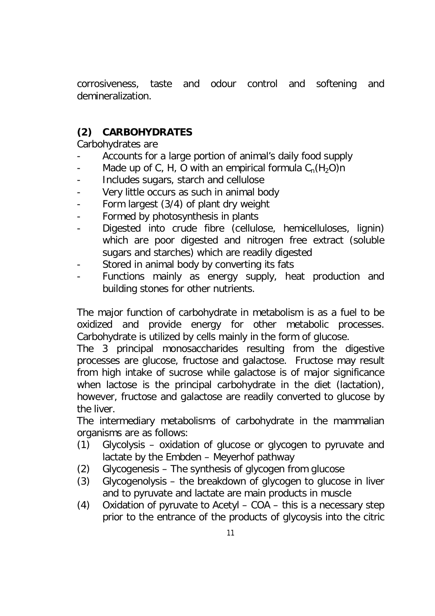corrosiveness, taste and odour control and softening and demineralization.

# **(2) CARBOHYDRATES**

Carbohydrates are

- Accounts for a large portion of animal's daily food supply
- Made up of C, H, O with an empirical formula  $C_n(H_2O)n$
- Includes sugars, starch and cellulose
- Very little occurs as such in animal body
- Form largest (3/4) of plant dry weight
- Formed by photosynthesis in plants
- Digested into crude fibre (cellulose, hemicelluloses, lignin) which are poor digested and nitrogen free extract (soluble sugars and starches) which are readily digested
- Stored in animal body by converting its fats
- Functions mainly as energy supply, heat production and building stones for other nutrients.

The major function of carbohydrate in metabolism is as a fuel to be oxidized and provide energy for other metabolic processes. Carbohydrate is utilized by cells mainly in the form of glucose.

The 3 principal monosaccharides resulting from the digestive processes are glucose, fructose and galactose. Fructose may result from high intake of sucrose while galactose is of major significance when lactose is the principal carbohydrate in the diet (lactation), however, fructose and galactose are readily converted to glucose by the liver.

The intermediary metabolisms of carbohydrate in the mammalian organisms are as follows:

- (1) Glycolysis oxidation of glucose or glycogen to pyruvate and lactate by the Embden – Meyerhof pathway
- (2) Glycogenesis The synthesis of glycogen from glucose
- (3) Glycogenolysis the breakdown of glycogen to glucose in liver and to pyruvate and lactate are main products in muscle
- (4) Oxidation of pyruvate to Acetyl COA this is a necessary step prior to the entrance of the products of glycoysis into the citric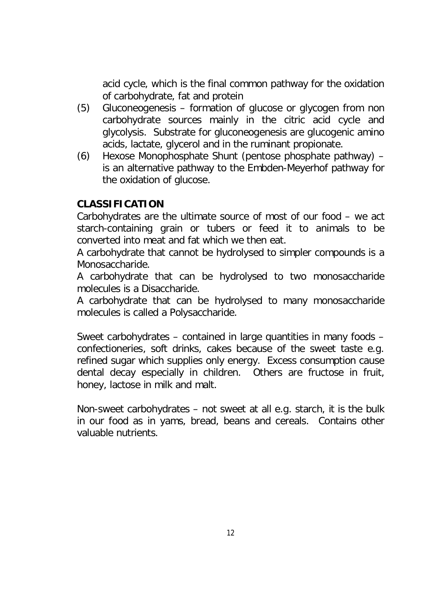acid cycle, which is the final common pathway for the oxidation of carbohydrate, fat and protein

- (5) Gluconeogenesis formation of glucose or glycogen from non carbohydrate sources mainly in the citric acid cycle and glycolysis. Substrate for gluconeogenesis are glucogenic amino acids, lactate, glycerol and in the ruminant propionate.
- (6) Hexose Monophosphate Shunt (pentose phosphate pathway) is an alternative pathway to the Embden-Meyerhof pathway for the oxidation of glucose.

## **CLASSIFICATION**

Carbohydrates are the ultimate source of most of our food – we act starch-containing grain or tubers or feed it to animals to be converted into meat and fat which we then eat.

A carbohydrate that cannot be hydrolysed to simpler compounds is a Monosaccharide.

A carbohydrate that can be hydrolysed to two monosaccharide molecules is a Disaccharide.

A carbohydrate that can be hydrolysed to many monosaccharide molecules is called a Polysaccharide.

Sweet carbohydrates – contained in large quantities in many foods – confectioneries, soft drinks, cakes because of the sweet taste e.g. refined sugar which supplies only energy. Excess consumption cause dental decay especially in children. Others are fructose in fruit, honey, lactose in milk and malt.

Non-sweet carbohydrates – not sweet at all e.g. starch, it is the bulk in our food as in yams, bread, beans and cereals. Contains other valuable nutrients.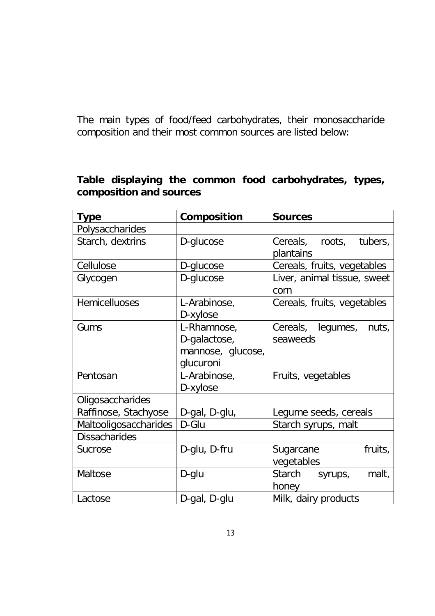The main types of food/feed carbohydrates, their monosaccharide composition and their most common sources are listed below:

#### **Table displaying the common food carbohydrates, types, composition and sources**

| <b>Type</b>           | Composition       | <b>Sources</b>              |  |  |
|-----------------------|-------------------|-----------------------------|--|--|
| Polysaccharides       |                   |                             |  |  |
| Starch, dextrins      | D-glucose         | Cereals, roots, tubers,     |  |  |
|                       |                   | plantains                   |  |  |
| Cellulose             | D-glucose         | Cereals, fruits, vegetables |  |  |
| Glycogen              | D-glucose         | Liver, animal tissue, sweet |  |  |
|                       |                   | corn                        |  |  |
| <b>Hemicelluoses</b>  | L-Arabinose,      | Cereals, fruits, vegetables |  |  |
|                       | D-xylose          |                             |  |  |
| Gums                  | L-Rhamnose,       | Cereals, legumes,<br>nuts,  |  |  |
|                       | D-galactose,      | seaweeds                    |  |  |
|                       | mannose, glucose, |                             |  |  |
|                       | glucuroni         |                             |  |  |
| Pentosan              | L-Arabinose,      | Fruits, vegetables          |  |  |
|                       | D-xylose          |                             |  |  |
| Oligosaccharides      |                   |                             |  |  |
| Raffinose, Stachyose  | D-gal, D-glu,     | Legume seeds, cereals       |  |  |
| Maltooligosaccharides | D-Glu             | Starch syrups, malt         |  |  |
| <b>Dissacharides</b>  |                   |                             |  |  |
| Sucrose               | D-glu, D-fru      | fruits,<br>Sugarcane        |  |  |
|                       |                   | vegetables                  |  |  |
| Maltose               | D-glu             | Starch syrups,<br>malt,     |  |  |
|                       |                   | honey                       |  |  |
| Lactose               | D-gal, D-glu      | Milk, dairy products        |  |  |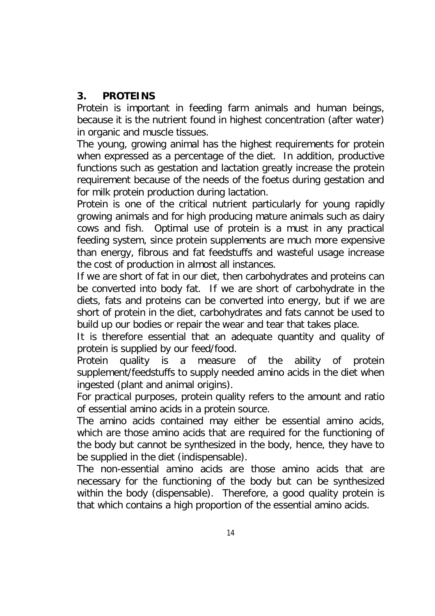#### **3. PROTEINS**

Protein is important in feeding farm animals and human beings, because it is the nutrient found in highest concentration (after water) in organic and muscle tissues.

The young, growing animal has the highest requirements for protein when expressed as a percentage of the diet. In addition, productive functions such as gestation and lactation greatly increase the protein requirement because of the needs of the foetus during gestation and for milk protein production during lactation.

Protein is one of the critical nutrient particularly for young rapidly growing animals and for high producing mature animals such as dairy cows and fish. Optimal use of protein is a must in any practical feeding system, since protein supplements are much more expensive than energy, fibrous and fat feedstuffs and wasteful usage increase the cost of production in almost all instances.

If we are short of fat in our diet, then carbohydrates and proteins can be converted into body fat. If we are short of carbohydrate in the diets, fats and proteins can be converted into energy, but if we are short of protein in the diet, carbohydrates and fats cannot be used to build up our bodies or repair the wear and tear that takes place.

It is therefore essential that an adequate quantity and quality of protein is supplied by our feed/food.

Protein quality is a measure of the ability of protein supplement/feedstuffs to supply needed amino acids in the diet when ingested (plant and animal origins).

For practical purposes, protein quality refers to the amount and ratio of essential amino acids in a protein source.

The amino acids contained may either be essential amino acids, which are those amino acids that are required for the functioning of the body but cannot be synthesized in the body, hence, they have to be supplied in the diet (indispensable).

The non-essential amino acids are those amino acids that are necessary for the functioning of the body but can be synthesized within the body (dispensable). Therefore, a good quality protein is that which contains a high proportion of the essential amino acids.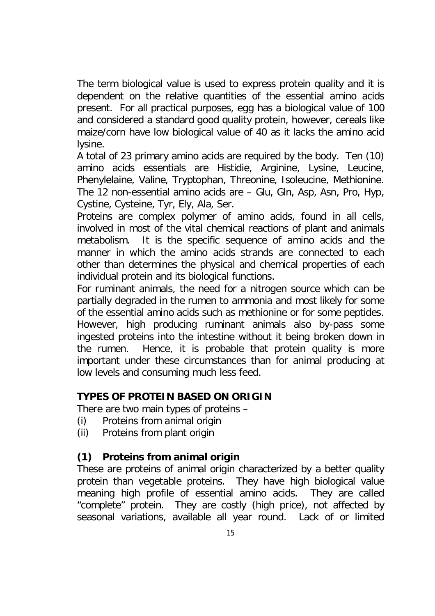The term biological value is used to express protein quality and it is dependent on the relative quantities of the essential amino acids present. For all practical purposes, egg has a biological value of 100 and considered a standard good quality protein, however, cereals like maize/corn have low biological value of 40 as it lacks the amino acid lysine.

A total of 23 primary amino acids are required by the body. Ten (10) amino acids essentials are Histidie, Arginine, Lysine, Leucine, Phenylelaine, Valine, Tryptophan, Threonine, Isoleucine, Methionine. The 12 non-essential amino acids are – Glu, Gln, Asp, Asn, Pro, Hyp, Cystine, Cysteine, Tyr, Ely, Ala, Ser.

Proteins are complex polymer of amino acids, found in all cells, involved in most of the vital chemical reactions of plant and animals metabolism. It is the specific sequence of amino acids and the manner in which the amino acids strands are connected to each other than determines the physical and chemical properties of each individual protein and its biological functions.

For ruminant animals, the need for a nitrogen source which can be partially degraded in the rumen to ammonia and most likely for some of the essential amino acids such as methionine or for some peptides. However, high producing ruminant animals also by-pass some ingested proteins into the intestine without it being broken down in the rumen. Hence, it is probable that protein quality is more important under these circumstances than for animal producing at low levels and consuming much less feed.

#### **TYPES OF PROTEIN BASED ON ORIGIN**

There are two main types of proteins –

- (i) Proteins from animal origin
- (ii) Proteins from plant origin

# **(1) Proteins from animal origin**

These are proteins of animal origin characterized by a better quality protein than vegetable proteins. They have high biological value meaning high profile of essential amino acids. They are called "complete" protein. They are costly (high price), not affected by seasonal variations, available all year round. Lack of or limited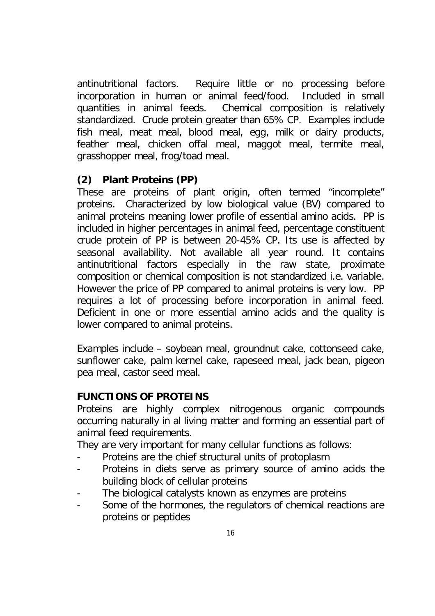antinutritional factors. Require little or no processing before incorporation in human or animal feed/food. Included in small quantities in animal feeds. Chemical composition is relatively standardized. Crude protein greater than 65% CP. Examples include fish meal, meat meal, blood meal, egg, milk or dairy products, feather meal, chicken offal meal, maggot meal, termite meal, grasshopper meal, frog/toad meal.

## **(2) Plant Proteins (PP)**

These are proteins of plant origin, often termed "incomplete" proteins. Characterized by low biological value (BV) compared to animal proteins meaning lower profile of essential amino acids. PP is included in higher percentages in animal feed, percentage constituent crude protein of PP is between 20-45% CP. Its use is affected by seasonal availability. Not available all year round. It contains antinutritional factors especially in the raw state, proximate composition or chemical composition is not standardized i.e. variable. However the price of PP compared to animal proteins is very low. PP requires a lot of processing before incorporation in animal feed. Deficient in one or more essential amino acids and the quality is lower compared to animal proteins.

Examples include – soybean meal, groundnut cake, cottonseed cake, sunflower cake, palm kernel cake, rapeseed meal, jack bean, pigeon pea meal, castor seed meal.

#### **FUNCTIONS OF PROTEINS**

Proteins are highly complex nitrogenous organic compounds occurring naturally in al living matter and forming an essential part of animal feed requirements.

They are very important for many cellular functions as follows:

- Proteins are the chief structural units of protoplasm
- Proteins in diets serve as primary source of amino acids the building block of cellular proteins
- The biological catalysts known as enzymes are proteins
- Some of the hormones, the regulators of chemical reactions are proteins or peptides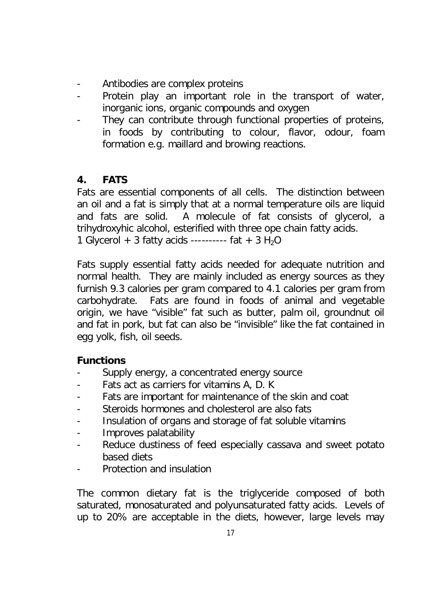- Antibodies are complex proteins
- Protein play an important role in the transport of water, inorganic ions, organic compounds and oxygen
- They can contribute through functional properties of proteins, in foods by contributing to colour, flavor, odour, foam formation e.g. maillard and browing reactions.

# **4. FATS**

Fats are essential components of all cells. The distinction between an oil and a fat is simply that at a normal temperature oils are liquid and fats are solid. A molecule of fat consists of glycerol, a trihydroxyhic alcohol, esterified with three ope chain fatty acids. 1 Glycerol + 3 fatty acids ---------- fat +  $3 H_2O$ 

Fats supply essential fatty acids needed for adequate nutrition and normal health. They are mainly included as energy sources as they furnish 9.3 calories per gram compared to 4.1 calories per gram from carbohydrate. Fats are found in foods of animal and vegetable origin, we have "visible" fat such as butter, palm oil, groundnut oil and fat in pork, but fat can also be "invisible" like the fat contained in egg yolk, fish, oil seeds.

#### **Functions**

- Supply energy, a concentrated energy source
- Fats act as carriers for vitamins A, D. K
- Fats are important for maintenance of the skin and coat
- Steroids hormones and cholesterol are also fats
- Insulation of organs and storage of fat soluble vitamins
- Improves palatability
- Reduce dustiness of feed especially cassava and sweet potato based diets
- Protection and insulation

The common dietary fat is the triglyceride composed of both saturated, monosaturated and polyunsaturated fatty acids. Levels of up to 20% are acceptable in the diets, however, large levels may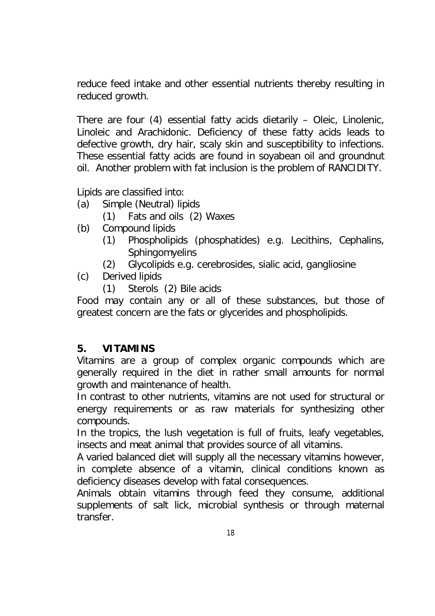reduce feed intake and other essential nutrients thereby resulting in reduced growth.

There are four (4) essential fatty acids dietarily – Oleic, Linolenic, Linoleic and Arachidonic. Deficiency of these fatty acids leads to defective growth, dry hair, scaly skin and susceptibility to infections. These essential fatty acids are found in soyabean oil and groundnut oil. Another problem with fat inclusion is the problem of RANCIDITY.

Lipids are classified into:

- (a) Simple (Neutral) lipids
	- (1) Fats and oils (2) Waxes
- (b) Compound lipids
	- (1) Phospholipids (phosphatides) e.g. Lecithins, Cephalins, **Sphingomyelins**
	- (2) Glycolipids e.g. cerebrosides, sialic acid, gangliosine
- (c) Derived lipids
	- (1) Sterols (2) Bile acids

Food may contain any or all of these substances, but those of greatest concern are the fats or glycerides and phospholipids.

# **5. VITAMINS**

Vitamins are a group of complex organic compounds which are generally required in the diet in rather small amounts for normal growth and maintenance of health.

In contrast to other nutrients, vitamins are not used for structural or energy requirements or as raw materials for synthesizing other compounds.

In the tropics, the lush vegetation is full of fruits, leafy vegetables, insects and meat animal that provides source of all vitamins.

A varied balanced diet will supply all the necessary vitamins however, in complete absence of a vitamin, clinical conditions known as deficiency diseases develop with fatal consequences.

Animals obtain vitamins through feed they consume, additional supplements of salt lick, microbial synthesis or through maternal transfer.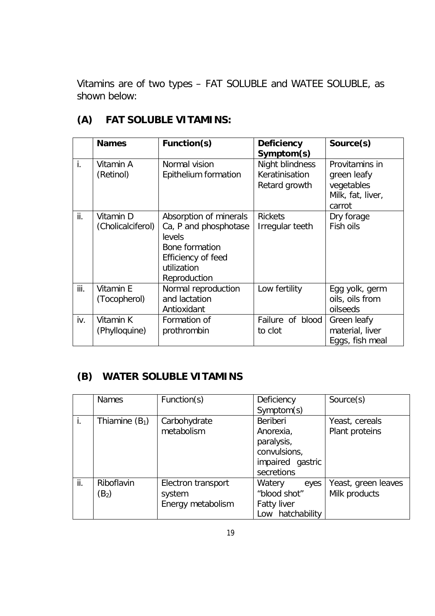Vitamins are of two types – FAT SOLUBLE and WATEE SOLUBLE, as shown below:

|      | <b>Names</b>                   | Function(s)                                                                                                                             | Deficiency<br>Symptom(s)                           | Source(s)                                                                  |
|------|--------------------------------|-----------------------------------------------------------------------------------------------------------------------------------------|----------------------------------------------------|----------------------------------------------------------------------------|
| i.   | Vitamin A<br>(Retinol)         | Normal vision<br>Epithelium formation                                                                                                   | Night blindness<br>Keratinisation<br>Retard growth | Provitamins in<br>green leafy<br>vegetables<br>Milk, fat, liver,<br>carrot |
| ii.  | Vitamin D<br>(Cholicalciferol) | Absorption of minerals<br>Ca, P and phosphotase<br><b>levels</b><br>Bone formation<br>Efficiency of feed<br>utilization<br>Reproduction | <b>Rickets</b><br>Irregular teeth                  | Dry forage<br>Fish oils                                                    |
| iii. | Vitamin E<br>(Tocopherol)      | Normal reproduction<br>and lactation<br>Antioxidant                                                                                     | Low fertility                                      | Egg yolk, germ<br>oils, oils from<br>oilseeds                              |
| iv.  | Vitamin K<br>(Phylloquine)     | Formation of<br>prothrombin                                                                                                             | Failure of blood<br>to clot                        | Green leafy<br>material, liver<br>Eggs, fish meal                          |

# **(A) FAT SOLUBLE VITAMINS:**

## **(B) WATER SOLUBLE VITAMINS**

|     | Names            | Function(s)        | Deficiency         | Source(s)           |
|-----|------------------|--------------------|--------------------|---------------------|
|     |                  |                    | Symptom(s)         |                     |
| i.  | Thiamine $(B_1)$ | Carbohydrate       | Beriberi           | Yeast, cereals      |
|     |                  | metabolism         | Anorexia,          | Plant proteins      |
|     |                  |                    | paralysis,         |                     |
|     |                  |                    | convulsions,       |                     |
|     |                  |                    | impaired gastric   |                     |
|     |                  |                    | secretions         |                     |
| ii. | Riboflavin       | Electron transport | Watery<br>eyes     | Yeast, green leaves |
|     | $(B_2)$          | system             | "blood shot"       | Milk products       |
|     |                  | Energy metabolism  | <b>Fatty liver</b> |                     |
|     |                  |                    | Low hatchability   |                     |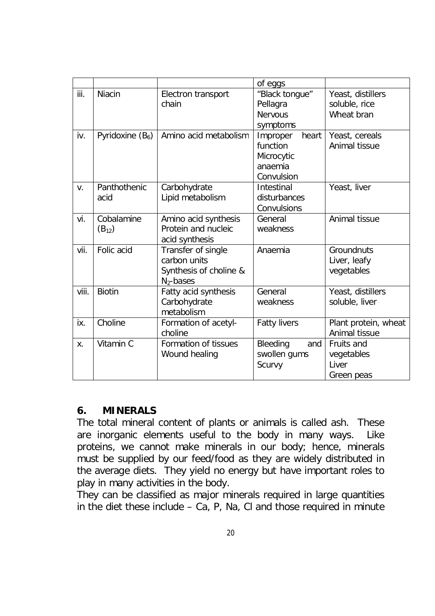|       |                          |                                                                              | of eggs                                                              |                                                  |
|-------|--------------------------|------------------------------------------------------------------------------|----------------------------------------------------------------------|--------------------------------------------------|
| iii.  | Niacin                   | Electron transport<br>chain                                                  | "Black tongue"<br>Pellagra<br><b>Nervous</b><br>symptoms             | Yeast, distillers<br>soluble, rice<br>Wheat bran |
| iv.   | Pyridoxine $(B_6)$       | Amino acid metabolism                                                        | heart<br>Improper<br>function<br>Microcytic<br>anaemia<br>Convulsion | Yeast, cereals<br>Animal tissue                  |
| V.    | Panthothenic<br>acid     | Carbohydrate<br>Lipid metabolism                                             | Intestinal<br>disturbances<br>Convulsions                            | Yeast, liver                                     |
| vi.   | Cobalamine<br>$(B_{12})$ | Amino acid synthesis<br>Protein and nucleic<br>acid synthesis                | General<br>weakness                                                  | Animal tissue                                    |
| vii.  | Folic acid               | Transfer of single<br>carbon units<br>Synthesis of choline &<br>$N_2$ -bases | Anaemia                                                              | Groundnuts<br>Liver, leafy<br>vegetables         |
| viii. | <b>Biotin</b>            | Fatty acid synthesis<br>Carbohydrate<br>metabolism                           | General<br>weakness                                                  | Yeast, distillers<br>soluble, liver              |
| ix.   | Choline                  | Formation of acetyl-<br>choline                                              | <b>Fatty livers</b>                                                  | Plant protein, wheat<br>Animal tissue            |
| Χ.    | Vitamin C                | Formation of tissues<br>Wound healing                                        | Bleeding<br>and<br>swollen gums<br>Scurvy                            | Fruits and<br>vegetables<br>Liver<br>Green peas  |

#### **6. MINERALS**

The total mineral content of plants or animals is called ash. These are inorganic elements useful to the body in many ways. Like proteins, we cannot make minerals in our body; hence, minerals must be supplied by our feed/food as they are widely distributed in the average diets. They yield no energy but have important roles to play in many activities in the body.

They can be classified as major minerals required in large quantities in the diet these include  $-$  Ca, P, Na, CI and those required in minute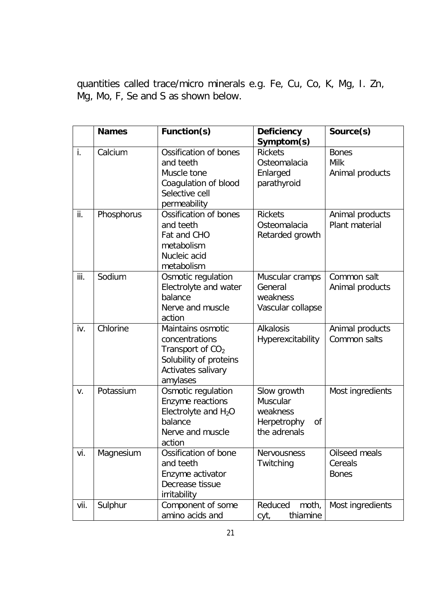quantities called trace/micro minerals e.g. Fe, Cu, Co, K, Mg, I. Zn, Mg, Mo, F, Se and S as shown below.

|      | <b>Names</b> | Function(s)                                                                                                           | <b>Deficiency</b><br>Symptom(s)                                          | Source(s)                                |
|------|--------------|-----------------------------------------------------------------------------------------------------------------------|--------------------------------------------------------------------------|------------------------------------------|
| i.   | Calcium      | Ossification of bones<br>and teeth<br>Muscle tone<br>Coagulation of blood<br>Selective cell<br>permeability           | <b>Rickets</b><br>Osteomalacia<br>Enlarged<br>parathyroid                | <b>Bones</b><br>Milk<br>Animal products  |
| ii.  | Phosphorus   | Ossification of bones<br>and teeth<br>Fat and CHO<br>metabolism<br>Nucleic acid<br>metabolism                         | <b>Rickets</b><br>Osteomalacia<br>Retarded growth                        | Animal products<br>Plant material        |
| iii. | Sodium       | Osmotic regulation<br>Electrolyte and water<br>balance<br>Nerve and muscle<br>action                                  | Muscular cramps<br>General<br>weakness<br>Vascular collapse              | Common salt<br>Animal products           |
| iv.  | Chlorine     | Maintains osmotic<br>concentrations<br>Transport of $CO2$<br>Solubility of proteins<br>Activates salivary<br>amylases | <b>Alkalosis</b><br>Hyperexcitability                                    | Animal products<br>Common salts          |
| V.   | Potassium    | Osmotic regulation<br>Enzyme reactions<br>Electrolyte and $H_2O$<br>balance<br>Nerve and muscle<br>action             | Slow growth<br>Muscular<br>weakness<br>Herpetrophy<br>0f<br>the adrenals | Most ingredients                         |
| vi.  | Magnesium    | Ossification of bone<br>and teeth<br>Enzyme activator<br>Decrease tissue<br>irritability                              | Nervousness<br>Twitching                                                 | Oilseed meals<br>Cereals<br><b>Bones</b> |
| vii. | Sulphur      | Component of some<br>amino acids and                                                                                  | Reduced<br>moth,<br>thiamine<br>cyt,                                     | Most ingredients                         |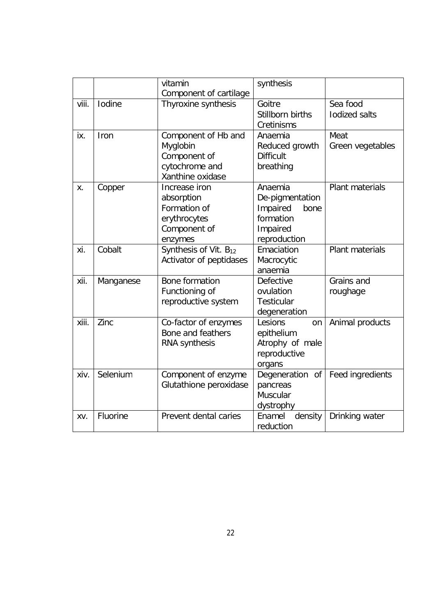|       |           | vitamin                           | synthesis          |                        |
|-------|-----------|-----------------------------------|--------------------|------------------------|
|       |           | Component of cartilage            |                    |                        |
| viii. | Iodine    | Thyroxine synthesis               | Goitre             | Sea food               |
|       |           |                                   | Stillborn births   | <b>lodized salts</b>   |
|       |           |                                   | Cretinisms         |                        |
| ix.   | Iron      | Component of Hb and               | Anaemia            | Meat                   |
|       |           | Myglobin                          | Reduced growth     | Green vegetables       |
|       |           | Component of                      | <b>Difficult</b>   |                        |
|       |           | cytochrome and                    | breathing          |                        |
|       |           | Xanthine oxidase                  |                    |                        |
| Χ.    | Copper    | Increase iron                     | Anaemia            | Plant materials        |
|       |           | absorption                        | De-pigmentation    |                        |
|       |           | Formation of                      | Impaired<br>bone   |                        |
|       |           | erythrocytes                      | formation          |                        |
|       |           | Component of                      | Impaired           |                        |
|       |           | enzymes                           | reproduction       |                        |
| xi.   | Cobalt    | Synthesis of Vit. B <sub>12</sub> | Emaciation         | <b>Plant materials</b> |
|       |           | Activator of peptidases           | Macrocytic         |                        |
|       |           |                                   | anaemia            |                        |
| xii.  | Manganese | Bone formation                    | <b>Defective</b>   | Grains and             |
|       |           | Functioning of                    | ovulation          | roughage               |
|       |           | reproductive system               | <b>Testicular</b>  |                        |
|       |           |                                   | degeneration       |                        |
| xiii. | Zinc      | Co-factor of enzymes              | Lesions<br>on      | Animal products        |
|       |           | Bone and feathers                 | epithelium         |                        |
|       |           | RNA synthesis                     | Atrophy of male    |                        |
|       |           |                                   | reproductive       |                        |
|       |           |                                   | organs             |                        |
| xiv.  | Selenium  | Component of enzyme               | Degeneration<br>of | Feed ingredients       |
|       |           | Glutathione peroxidase            | pancreas           |                        |
|       |           |                                   | Muscular           |                        |
|       |           |                                   | dystrophy          |                        |
| XV.   | Fluorine  | Prevent dental caries             | Enamel<br>density  | Drinking water         |
|       |           |                                   | reduction          |                        |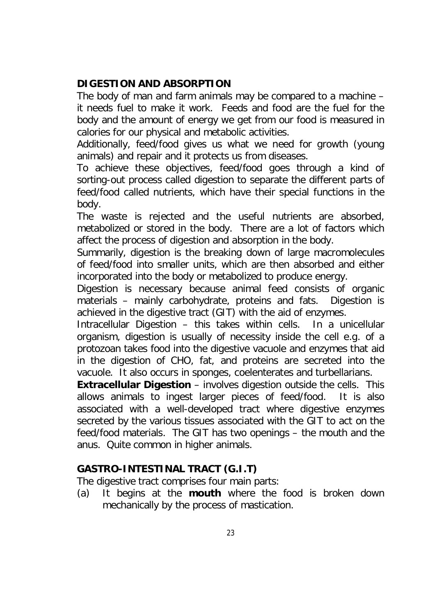#### **DIGESTION AND ABSORPTION**

The body of man and farm animals may be compared to a machine – it needs fuel to make it work. Feeds and food are the fuel for the body and the amount of energy we get from our food is measured in calories for our physical and metabolic activities.

Additionally, feed/food gives us what we need for growth (young animals) and repair and it protects us from diseases.

To achieve these objectives, feed/food goes through a kind of sorting-out process called digestion to separate the different parts of feed/food called nutrients, which have their special functions in the body.

The waste is rejected and the useful nutrients are absorbed, metabolized or stored in the body. There are a lot of factors which affect the process of digestion and absorption in the body.

Summarily, digestion is the breaking down of large macromolecules of feed/food into smaller units, which are then absorbed and either incorporated into the body or metabolized to produce energy.

Digestion is necessary because animal feed consists of organic materials – mainly carbohydrate, proteins and fats. Digestion is achieved in the digestive tract (GIT) with the aid of enzymes.

Intracellular Digestion – this takes within cells. In a unicellular organism, digestion is usually of necessity inside the cell e.g. of a protozoan takes food into the digestive vacuole and enzymes that aid in the digestion of CHO, fat, and proteins are secreted into the vacuole. It also occurs in sponges, coelenterates and turbellarians.

**Extracellular Digestion** – involves digestion outside the cells. This allows animals to ingest larger pieces of feed/food. It is also associated with a well-developed tract where digestive enzymes secreted by the various tissues associated with the GIT to act on the feed/food materials. The GIT has two openings – the mouth and the anus. Quite common in higher animals.

#### **GASTRO-INTESTINAL TRACT (G.I.T)**

The digestive tract comprises four main parts:

(a) It begins at the **mouth** where the food is broken down mechanically by the process of mastication.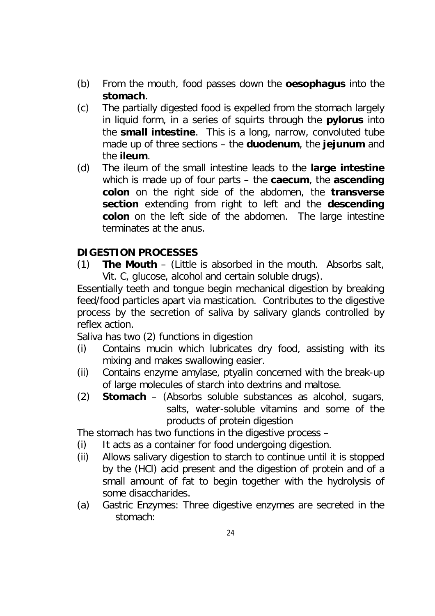- (b) From the mouth, food passes down the **oesophagus** into the **stomach**.
- (c) The partially digested food is expelled from the stomach largely in liquid form, in a series of squirts through the **pylorus** into the **small intestine**. This is a long, narrow, convoluted tube made up of three sections – the **duodenum**, the **jejunum** and the **ileum**.
- (d) The ileum of the small intestine leads to the **large intestine** which is made up of four parts – the **caecum**, the **ascending colon** on the right side of the abdomen, the **transverse section** extending from right to left and the **descending colon** on the left side of the abdomen. The large intestine terminates at the anus.

## **DIGESTION PROCESSES**

(1) **The Mouth** – (Little is absorbed in the mouth. Absorbs salt, Vit. C, glucose, alcohol and certain soluble drugs).

Essentially teeth and tongue begin mechanical digestion by breaking feed/food particles apart via mastication. Contributes to the digestive process by the secretion of saliva by salivary glands controlled by reflex action.

Saliva has two (2) functions in digestion

- (i) Contains mucin which lubricates dry food, assisting with its mixing and makes swallowing easier.
- (ii) Contains enzyme amylase, ptyalin concerned with the break-up of large molecules of starch into dextrins and maltose.
- (2) **Stomach** (Absorbs soluble substances as alcohol, sugars, salts, water-soluble vitamins and some of the products of protein digestion

The stomach has two functions in the digestive process –

- (i) It acts as a container for food undergoing digestion.
- (ii) Allows salivary digestion to starch to continue until it is stopped by the (HCl) acid present and the digestion of protein and of a small amount of fat to begin together with the hydrolysis of some disaccharides.
- (a) Gastric Enzymes: Three digestive enzymes are secreted in the stomach: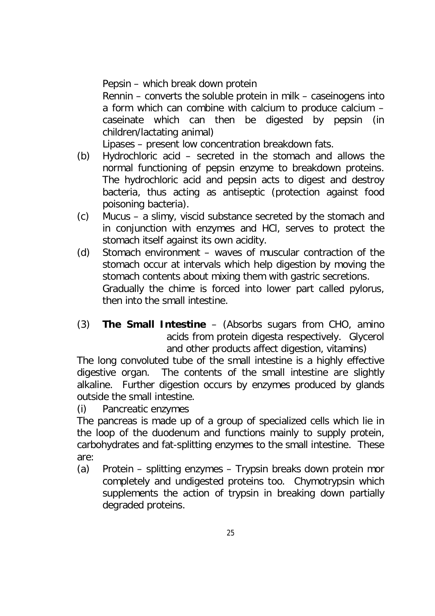Pepsin – which break down protein

Rennin – converts the soluble protein in milk – caseinogens into a form which can combine with calcium to produce calcium – caseinate which can then be digested by pepsin (in children/lactating animal)

Lipases – present low concentration breakdown fats.

- (b) Hydrochloric acid secreted in the stomach and allows the normal functioning of pepsin enzyme to breakdown proteins. The hydrochloric acid and pepsin acts to digest and destroy bacteria, thus acting as antiseptic (protection against food poisoning bacteria).
- (c) Mucus a slimy, viscid substance secreted by the stomach and in conjunction with enzymes and HCl, serves to protect the stomach itself against its own acidity.
- (d) Stomach environment waves of muscular contraction of the stomach occur at intervals which help digestion by moving the stomach contents about mixing them with gastric secretions. Gradually the chime is forced into lower part called pylorus, then into the small intestine.
- (3) **The Small Intestine** (Absorbs sugars from CHO, amino acids from protein digesta respectively. Glycerol and other products affect digestion, vitamins)

The long convoluted tube of the small intestine is a highly effective digestive organ. The contents of the small intestine are slightly alkaline. Further digestion occurs by enzymes produced by glands outside the small intestine.

(i) Pancreatic enzymes

The pancreas is made up of a group of specialized cells which lie in the loop of the duodenum and functions mainly to supply protein, carbohydrates and fat-splitting enzymes to the small intestine. These are:

(a) Protein – splitting enzymes – Trypsin breaks down protein mor completely and undigested proteins too. Chymotrypsin which supplements the action of trypsin in breaking down partially degraded proteins.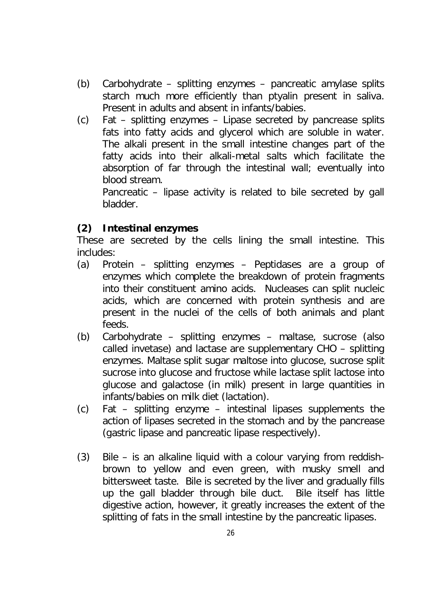- (b) Carbohydrate splitting enzymes pancreatic amylase splits starch much more efficiently than ptyalin present in saliva. Present in adults and absent in infants/babies.
- (c) Fat splitting enzymes Lipase secreted by pancrease splits fats into fatty acids and glycerol which are soluble in water. The alkali present in the small intestine changes part of the fatty acids into their alkali-metal salts which facilitate the absorption of far through the intestinal wall; eventually into blood stream.

Pancreatic – lipase activity is related to bile secreted by gall bladder.

# **(2) Intestinal enzymes**

These are secreted by the cells lining the small intestine. This includes:

- (a) Protein splitting enzymes Peptidases are a group of enzymes which complete the breakdown of protein fragments into their constituent amino acids. Nucleases can split nucleic acids, which are concerned with protein synthesis and are present in the nuclei of the cells of both animals and plant feeds.
- (b) Carbohydrate splitting enzymes maltase, sucrose (also called invetase) and lactase are supplementary CHO – splitting enzymes. Maltase split sugar maltose into glucose, sucrose split sucrose into glucose and fructose while lactase split lactose into glucose and galactose (in milk) present in large quantities in infants/babies on milk diet (lactation).
- (c) Fat splitting enzyme intestinal lipases supplements the action of lipases secreted in the stomach and by the pancrease (gastric lipase and pancreatic lipase respectively).
- (3) Bile is an alkaline liquid with a colour varying from reddishbrown to yellow and even green, with musky smell and bittersweet taste. Bile is secreted by the liver and gradually fills up the gall bladder through bile duct. Bile itself has little digestive action, however, it greatly increases the extent of the splitting of fats in the small intestine by the pancreatic lipases.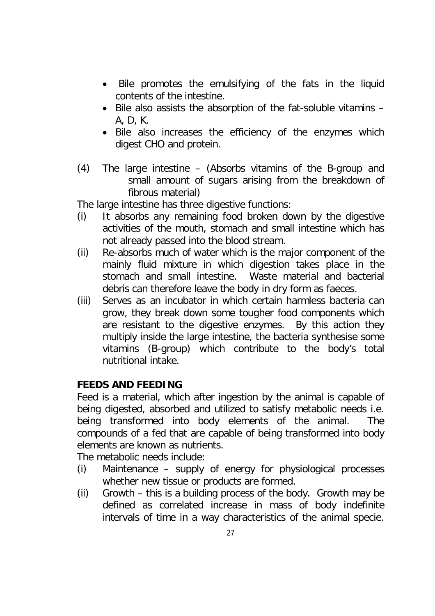- Bile promotes the emulsifying of the fats in the liquid contents of the intestine.
- Bile also assists the absorption of the fat-soluble vitamins A, D, K.
- Bile also increases the efficiency of the enzymes which digest CHO and protein.
- (4) The large intestine (Absorbs vitamins of the B-group and small amount of sugars arising from the breakdown of fibrous material)

The large intestine has three digestive functions:

- (i) It absorbs any remaining food broken down by the digestive activities of the mouth, stomach and small intestine which has not already passed into the blood stream.
- (ii) Re-absorbs much of water which is the major component of the mainly fluid mixture in which digestion takes place in the stomach and small intestine. Waste material and bacterial debris can therefore leave the body in dry form as faeces.
- (iii) Serves as an incubator in which certain harmless bacteria can grow, they break down some tougher food components which are resistant to the digestive enzymes. By this action they multiply inside the large intestine, the bacteria synthesise some vitamins (B-group) which contribute to the body's total nutritional intake.

#### **FEEDS AND FEEDING**

Feed is a material, which after ingestion by the animal is capable of being digested, absorbed and utilized to satisfy metabolic needs i.e. being transformed into body elements of the animal. The compounds of a fed that are capable of being transformed into body elements are known as nutrients.

The metabolic needs include:

- (i) Maintenance supply of energy for physiological processes whether new tissue or products are formed.
- (ii) Growth this is a building process of the body. Growth may be defined as correlated increase in mass of body indefinite intervals of time in a way characteristics of the animal specie.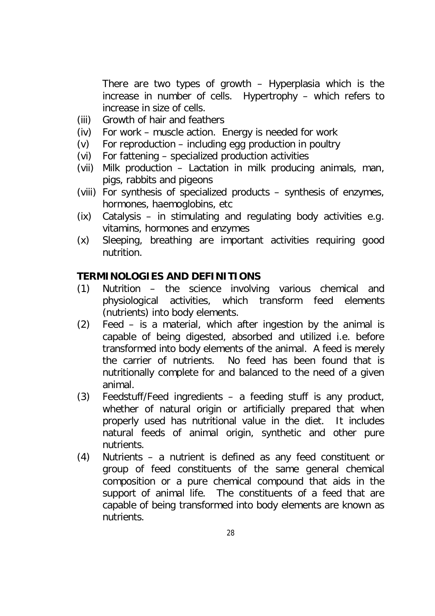There are two types of growth – Hyperplasia which is the increase in number of cells. Hypertrophy – which refers to increase in size of cells.

- (iii) Growth of hair and feathers
- (iv) For work muscle action. Energy is needed for work
- (v) For reproduction including egg production in poultry
- (vi) For fattening specialized production activities
- (vii) Milk production Lactation in milk producing animals, man, pigs, rabbits and pigeons
- (viii) For synthesis of specialized products synthesis of enzymes, hormones, haemoglobins, etc
- (ix) Catalysis in stimulating and regulating body activities e.g. vitamins, hormones and enzymes
- (x) Sleeping, breathing are important activities requiring good nutrition.

#### **TERMINOLOGIES AND DEFINITIONS**

- (1) Nutrition the science involving various chemical and physiological activities, which transform feed elements (nutrients) into body elements.
- (2) Feed is a material, which after ingestion by the animal is capable of being digested, absorbed and utilized i.e. before transformed into body elements of the animal. A feed is merely the carrier of nutrients. No feed has been found that is nutritionally complete for and balanced to the need of a given animal.
- (3) Feedstuff/Feed ingredients a feeding stuff is any product, whether of natural origin or artificially prepared that when properly used has nutritional value in the diet. It includes natural feeds of animal origin, synthetic and other pure nutrients.
- (4) Nutrients a nutrient is defined as any feed constituent or group of feed constituents of the same general chemical composition or a pure chemical compound that aids in the support of animal life. The constituents of a feed that are capable of being transformed into body elements are known as nutrients.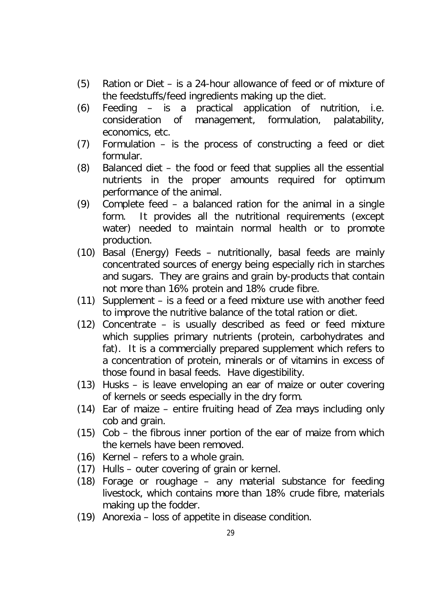- (5) Ration or Diet is a 24-hour allowance of feed or of mixture of the feedstuffs/feed ingredients making up the diet.
- (6) Feeding is a practical application of nutrition, i.e. consideration of management, formulation, palatability, economics, etc.
- (7) Formulation is the process of constructing a feed or diet formular.
- (8) Balanced diet the food or feed that supplies all the essential nutrients in the proper amounts required for optimum performance of the animal.
- (9) Complete feed a balanced ration for the animal in a single form. It provides all the nutritional requirements (except water) needed to maintain normal health or to promote production.
- (10) Basal (Energy) Feeds nutritionally, basal feeds are mainly concentrated sources of energy being especially rich in starches and sugars. They are grains and grain by-products that contain not more than 16% protein and 18% crude fibre.
- (11) Supplement is a feed or a feed mixture use with another feed to improve the nutritive balance of the total ration or diet.
- (12) Concentrate is usually described as feed or feed mixture which supplies primary nutrients (protein, carbohydrates and fat). It is a commercially prepared supplement which refers to a concentration of protein, minerals or of vitamins in excess of those found in basal feeds. Have digestibility.
- (13) Husks is leave enveloping an ear of maize or outer covering of kernels or seeds especially in the dry form.
- (14) Ear of maize entire fruiting head of Zea mays including only cob and grain.
- (15) Cob the fibrous inner portion of the ear of maize from which the kernels have been removed.
- (16) Kernel refers to a whole grain.
- (17) Hulls outer covering of grain or kernel.
- (18) Forage or roughage any material substance for feeding livestock, which contains more than 18% crude fibre, materials making up the fodder.
- (19) Anorexia loss of appetite in disease condition.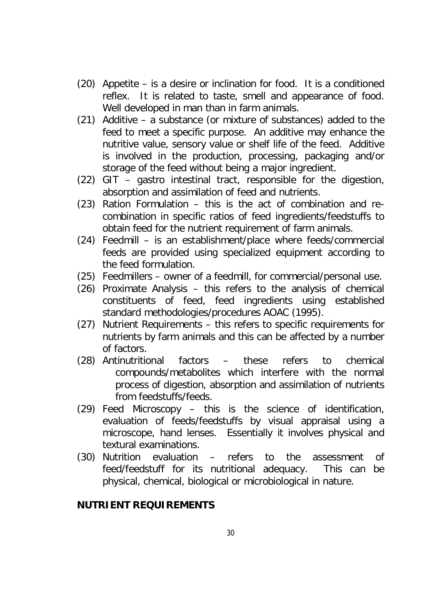- (20) Appetite is a desire or inclination for food. It is a conditioned reflex. It is related to taste, smell and appearance of food. Well developed in man than in farm animals.
- (21) Additive a substance (or mixture of substances) added to the feed to meet a specific purpose. An additive may enhance the nutritive value, sensory value or shelf life of the feed. Additive is involved in the production, processing, packaging and/or storage of the feed without being a major ingredient.
- (22) GIT gastro intestinal tract, responsible for the digestion, absorption and assimilation of feed and nutrients.
- (23) Ration Formulation this is the act of combination and recombination in specific ratios of feed ingredients/feedstuffs to obtain feed for the nutrient requirement of farm animals.
- (24) Feedmill is an establishment/place where feeds/commercial feeds are provided using specialized equipment according to the feed formulation.
- (25) Feedmillers owner of a feedmill, for commercial/personal use.
- (26) Proximate Analysis this refers to the analysis of chemical constituents of feed, feed ingredients using established standard methodologies/procedures AOAC (1995).
- (27) Nutrient Requirements this refers to specific requirements for nutrients by farm animals and this can be affected by a number of factors.
- (28) Antinutritional factors these refers to chemical compounds/metabolites which interfere with the normal process of digestion, absorption and assimilation of nutrients from feedstuffs/feeds.
- (29) Feed Microscopy this is the science of identification, evaluation of feeds/feedstuffs by visual appraisal using a microscope, hand lenses. Essentially it involves physical and textural examinations.
- (30) Nutrition evaluation refers to the assessment of feed/feedstuff for its nutritional adequacy. This can be physical, chemical, biological or microbiological in nature.

#### **NUTRIENT REQUIREMENTS**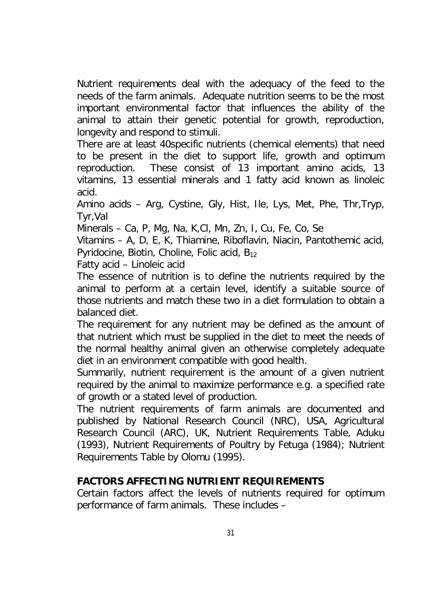Nutrient requirements deal with the adequacy of the feed to the needs of the farm animals. Adequate nutrition seems to be the most important environmental factor that influences the ability of the animal to attain their genetic potential for growth, reproduction, longevity and respond to stimuli.

There are at least 40specific nutrients (chemical elements) that need to be present in the diet to support life, growth and optimum reproduction. These consist of 13 important amino acids, 13 vitamins, 13 essential minerals and 1 fatty acid known as linoleic acid.

Amino acids – Arg, Cystine, Gly, Hist, Ile, Lys, Met, Phe, Thr,Tryp, Tyr,Val

Minerals – Ca, P, Mg, Na, K,Cl, Mn, Zn, I, Cu, Fe, Co, Se

Vitamins – A, D, E, K, Thiamine, Riboflavin, Niacin, Pantothemic acid, Pyridocine, Biotin, Choline, Folic acid, B<sub>12</sub>

Fatty acid – Linoleic acid

The essence of nutrition is to define the nutrients required by the animal to perform at a certain level, identify a suitable source of those nutrients and match these two in a diet formulation to obtain a balanced diet.

The requirement for any nutrient may be defined as the amount of that nutrient which must be supplied in the diet to meet the needs of the normal healthy animal given an otherwise completely adequate diet in an environment compatible with good health.

Summarily, nutrient requirement is the amount of a given nutrient required by the animal to maximize performance e.g. a specified rate of growth or a stated level of production.

The nutrient requirements of farm animals are documented and published by National Research Council (NRC), USA, Agricultural Research Council (ARC), UK, Nutrient Requirements Table, Aduku (1993), Nutrient Requirements of Poultry by Fetuga (1984); Nutrient Requirements Table by Olomu (1995).

#### **FACTORS AFFECTING NUTRIENT REQUIREMENTS**

Certain factors affect the levels of nutrients required for optimum performance of farm animals. These includes –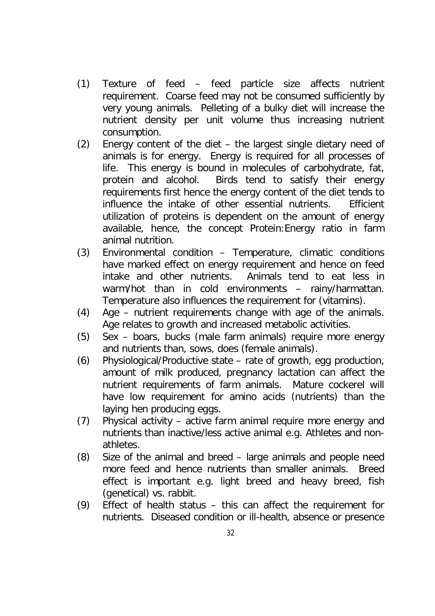- (1) Texture of feed feed particle size affects nutrient requirement. Coarse feed may not be consumed sufficiently by very young animals. Pelleting of a bulky diet will increase the nutrient density per unit volume thus increasing nutrient consumption.
- (2) Energy content of the diet the largest single dietary need of animals is for energy. Energy is required for all processes of life. This energy is bound in molecules of carbohydrate, fat, protein and alcohol. Birds tend to satisfy their energy requirements first hence the energy content of the diet tends to influence the intake of other essential nutrients. Efficient utilization of proteins is dependent on the amount of energy available, hence, the concept Protein:Energy ratio in farm animal nutrition.
- (3) Environmental condition Temperature, climatic conditions have marked effect on energy requirement and hence on feed intake and other nutrients. Animals tend to eat less in warm/hot than in cold environments – rainy/harmattan. Temperature also influences the requirement for (vitamins).
- (4) Age nutrient requirements change with age of the animals. Age relates to growth and increased metabolic activities.
- (5) Sex boars, bucks (male farm animals) require more energy and nutrients than, sows, does (female animals).
- (6) Physiological/Productive state rate of growth, egg production, amount of milk produced, pregnancy lactation can affect the nutrient requirements of farm animals. Mature cockerel will have low requirement for amino acids (nutrients) than the laying hen producing eggs.
- (7) Physical activity active farm animal require more energy and nutrients than inactive/less active animal e.g. Athletes and nonathletes.
- (8) Size of the animal and breed large animals and people need more feed and hence nutrients than smaller animals. Breed effect is important e.g. light breed and heavy breed, fish (genetical) vs. rabbit.
- (9) Effect of health status this can affect the requirement for nutrients. Diseased condition or ill-health, absence or presence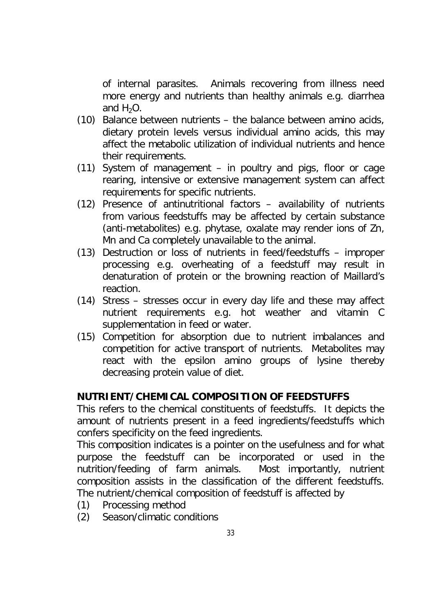of internal parasites. Animals recovering from illness need more energy and nutrients than healthy animals e.g. diarrhea and  $H_2O$ .

- (10) Balance between nutrients the balance between amino acids, dietary protein levels versus individual amino acids, this may affect the metabolic utilization of individual nutrients and hence their requirements.
- (11) System of management in poultry and pigs, floor or cage rearing, intensive or extensive management system can affect requirements for specific nutrients.
- (12) Presence of antinutritional factors availability of nutrients from various feedstuffs may be affected by certain substance (anti-metabolites) e.g. phytase, oxalate may render ions of Zn, Mn and Ca completely unavailable to the animal.
- (13) Destruction or loss of nutrients in feed/feedstuffs improper processing e.g. overheating of a feedstuff may result in denaturation of protein or the browning reaction of Maillard's reaction.
- (14) Stress stresses occur in every day life and these may affect nutrient requirements e.g. hot weather and vitamin C supplementation in feed or water.
- (15) Competition for absorption due to nutrient imbalances and competition for active transport of nutrients. Metabolites may react with the epsilon amino groups of lysine thereby decreasing protein value of diet.

#### **NUTRIENT/CHEMICAL COMPOSITION OF FEEDSTUFFS**

This refers to the chemical constituents of feedstuffs. It depicts the amount of nutrients present in a feed ingredients/feedstuffs which confers specificity on the feed ingredients.

This composition indicates is a pointer on the usefulness and for what purpose the feedstuff can be incorporated or used in the nutrition/feeding of farm animals. Most importantly, nutrient composition assists in the classification of the different feedstuffs. The nutrient/chemical composition of feedstuff is affected by

- (1) Processing method
- (2) Season/climatic conditions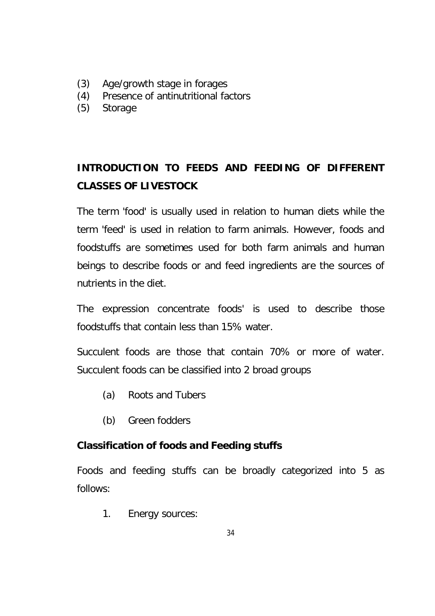- (3) Age/growth stage in forages
- (4) Presence of antinutritional factors
- (5) Storage

# **INTRODUCTION TO FEEDS AND FEEDING OF DIFFERENT CLASSES OF LIVESTOCK**

The term 'food' is usually used in relation to human diets while the term 'feed' is used in relation to farm animals. However, foods and foodstuffs are sometimes used for both farm animals and human beings to describe foods or and feed ingredients are the sources of nutrients in the diet.

The expression concentrate foods' is used to describe those foodstuffs that contain less than 15% water.

Succulent foods are those that contain 70% or more of water. Succulent foods can be classified into 2 broad groups

- (a) Roots and Tubers
- (b) Green fodders

# **Classification of foods and Feeding stuffs**

Foods and feeding stuffs can be broadly categorized into 5 as follows:

1. Energy sources: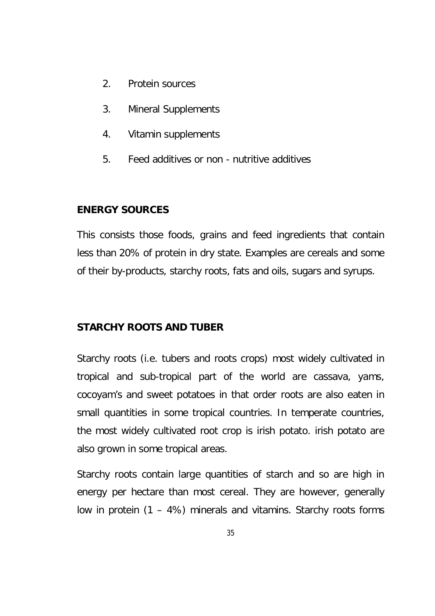- 2. Protein sources
- 3. Mineral Supplements
- 4. Vitamin supplements
- 5. Feed additives or non nutritive additives

#### **ENERGY SOURCES**

This consists those foods, grains and feed ingredients that contain less than 20% of protein in dry state. Examples are cereals and some of their by-products, starchy roots, fats and oils, sugars and syrups.

#### **STARCHY ROOTS AND TUBER**

Starchy roots (i.e. tubers and roots crops) most widely cultivated in tropical and sub-tropical part of the world are cassava, yams, cocoyam's and sweet potatoes in that order roots are also eaten in small quantities in some tropical countries. In temperate countries, the most widely cultivated root crop is irish potato. irish potato are also grown in some tropical areas.

Starchy roots contain large quantities of starch and so are high in energy per hectare than most cereal. They are however, generally low in protein (1 – 4%) minerals and vitamins. Starchy roots forms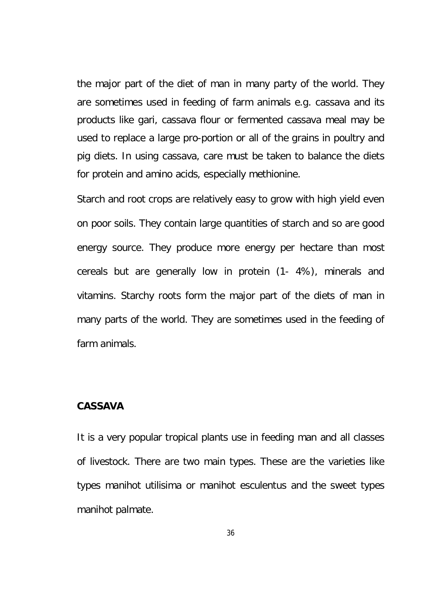the major part of the diet of man in many party of the world. They are sometimes used in feeding of farm animals e.g. cassava and its products like gari, cassava flour or fermented cassava meal may be used to replace a large pro-portion or all of the grains in poultry and pig diets. In using cassava, care must be taken to balance the diets for protein and amino acids, especially methionine.

Starch and root crops are relatively easy to grow with high yield even on poor soils. They contain large quantities of starch and so are good energy source. They produce more energy per hectare than most cereals but are generally low in protein (1- 4%), minerals and vitamins. Starchy roots form the major part of the diets of man in many parts of the world. They are sometimes used in the feeding of farm animals.

#### **CASSAVA**

It is a very popular tropical plants use in feeding man and all classes of livestock. There are two main types. These are the varieties like types *manihot utilisima* or *manihot esculentus* and the sweet types *manihot palmate*.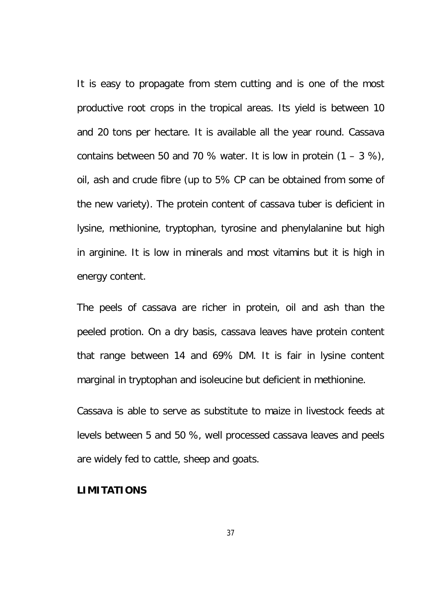It is easy to propagate from stem cutting and is one of the most productive root crops in the tropical areas. Its yield is between 10 and 20 tons per hectare. It is available all the year round. Cassava contains between 50 and 70 % water. It is low in protein  $(1 - 3 \%)$ , oil, ash and crude fibre (up to 5% CP can be obtained from some of the new variety). The protein content of cassava tuber is deficient in lysine, methionine, tryptophan, tyrosine and phenylalanine but high in arginine. It is low in minerals and most vitamins but it is high in energy content.

The peels of cassava are richer in protein, oil and ash than the peeled protion. On a dry basis, cassava leaves have protein content that range between 14 and 69% DM. It is fair in lysine content marginal in tryptophan and isoleucine but deficient in methionine.

Cassava is able to serve as substitute to maize in livestock feeds at levels between 5 and 50 %, well processed cassava leaves and peels are widely fed to cattle, sheep and goats.

#### **LIMITATIONS**

37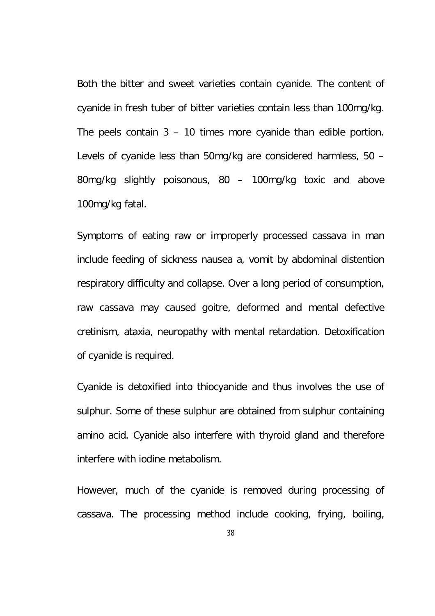Both the bitter and sweet varieties contain cyanide. The content of cyanide in fresh tuber of bitter varieties contain less than 100mg/kg. The peels contain 3 – 10 times more cyanide than edible portion. Levels of cyanide less than 50mg/kg are considered harmless, 50 – 80mg/kg slightly poisonous, 80 – 100mg/kg toxic and above 100mg/kg fatal.

Symptoms of eating raw or improperly processed cassava in man include feeding of sickness nausea a, vomit by abdominal distention respiratory difficulty and collapse. Over a long period of consumption, raw cassava may caused goitre, deformed and mental defective cretinism, ataxia, neuropathy with mental retardation. Detoxification of cyanide is required.

Cyanide is detoxified into thiocyanide and thus involves the use of sulphur. Some of these sulphur are obtained from sulphur containing amino acid. Cyanide also interfere with thyroid gland and therefore interfere with iodine metabolism.

However, much of the cyanide is removed during processing of cassava. The processing method include cooking, frying, boiling,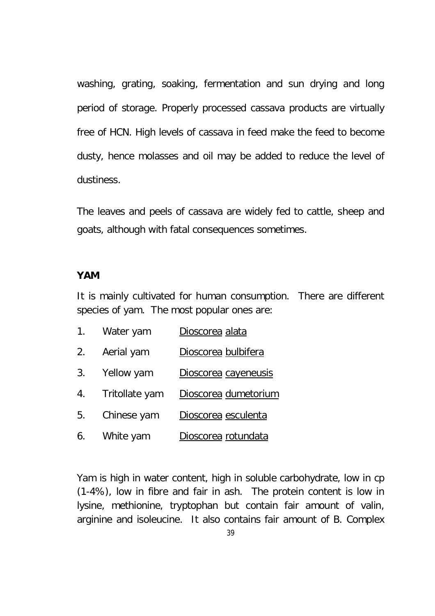washing, grating, soaking, fermentation and sun drying and long period of storage. Properly processed cassava products are virtually free of HCN. High levels of cassava in feed make the feed to become dusty, hence molasses and oil may be added to reduce the level of dustiness.

The leaves and peels of cassava are widely fed to cattle, sheep and goats, although with fatal consequences sometimes.

### **YAM**

It is mainly cultivated for human consumption. There are different species of yam. The most popular ones are:

- 1. Water yam Dioscorea alata
- 2. Aerial yam Dioscorea bulbifera
- 3. Yellow yam Dioscorea cayeneusis
- 4. Tritollate yam Dioscorea dumetorium
- 5. Chinese yam Dioscorea esculenta
- 6. White yam Dioscorea rotundata

Yam is high in water content, high in soluble carbohydrate, low in cp (1-4%), low in fibre and fair in ash. The protein content is low in lysine, methionine, tryptophan but contain fair amount of valin, arginine and isoleucine. It also contains fair amount of B. Complex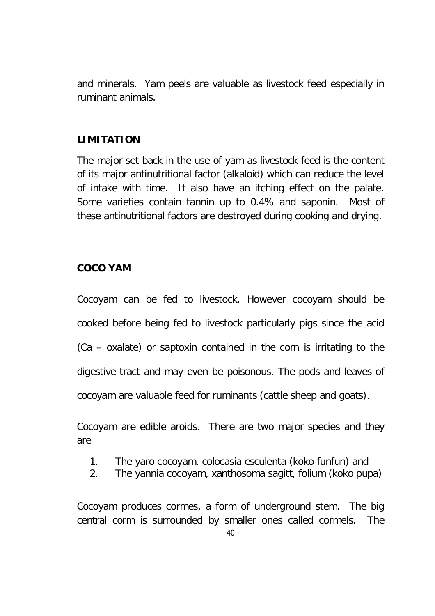and minerals. Yam peels are valuable as livestock feed especially in ruminant animals.

## **LIMITATION**

The major set back in the use of yam as livestock feed is the content of its major antinutritional factor (alkaloid) which can reduce the level of intake with time. It also have an itching effect on the palate. Some varieties contain tannin up to 0.4% and saponin. Most of these antinutritional factors are destroyed during cooking and drying.

## **COCO YAM**

Cocoyam can be fed to livestock. However cocoyam should be cooked before being fed to livestock particularly pigs since the acid (Ca – oxalate) or saptoxin contained in the corn is irritating to the digestive tract and may even be poisonous. The pods and leaves of cocoyam are valuable feed for ruminants (cattle sheep and goats).

Cocoyam are edible aroids. There are two major species and they are

- 1. The yaro cocoyam, colocasia esculenta (koko funfun) and
- 2. The yannia cocoyam, xanthosoma sagitt, folium (koko pupa)

Cocoyam produces cormes, a form of underground stem. The big central corm is surrounded by smaller ones called cormels. The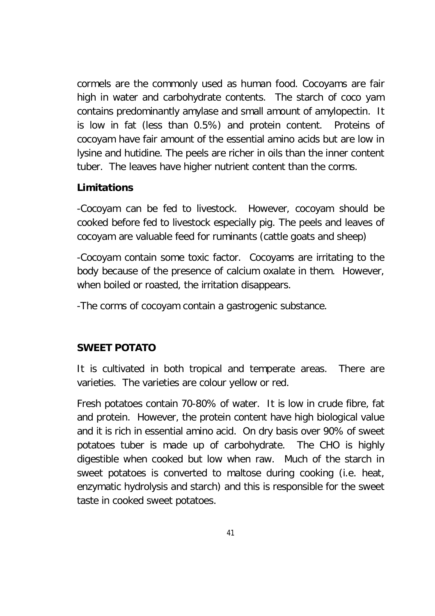cormels are the commonly used as human food. Cocoyams are fair high in water and carbohydrate contents. The starch of coco yam contains predominantly amylase and small amount of amylopectin. It is low in fat (less than 0.5%) and protein content. Proteins of cocoyam have fair amount of the essential amino acids but are low in lysine and hutidine. The peels are richer in oils than the inner content tuber. The leaves have higher nutrient content than the corms.

## **Limitations**

-Cocoyam can be fed to livestock. However, cocoyam should be cooked before fed to livestock especially pig. The peels and leaves of cocoyam are valuable feed for ruminants (cattle goats and sheep)

-Cocoyam contain some toxic factor. Cocoyams are irritating to the body because of the presence of calcium oxalate in them. However, when boiled or roasted, the irritation disappears.

-The corms of cocoyam contain a gastrogenic substance.

# **SWEET POTATO**

It is cultivated in both tropical and temperate areas. There are varieties. The varieties are colour yellow or red.

Fresh potatoes contain 70-80% of water. It is low in crude fibre, fat and protein. However, the protein content have high biological value and it is rich in essential amino acid. On dry basis over 90% of sweet potatoes tuber is made up of carbohydrate. The CHO is highly digestible when cooked but low when raw. Much of the starch in sweet potatoes is converted to maltose during cooking (i.e. heat, enzymatic hydrolysis and starch) and this is responsible for the sweet taste in cooked sweet potatoes.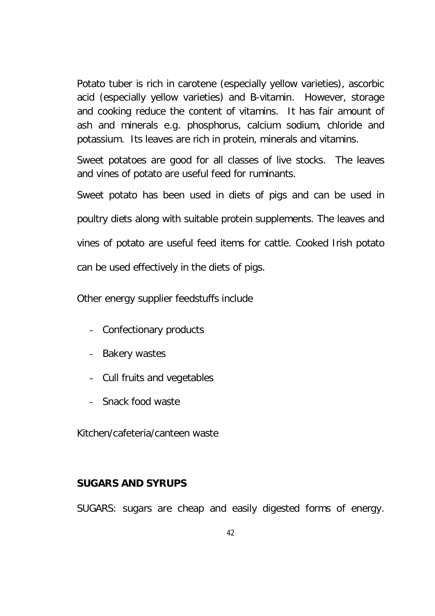Potato tuber is rich in carotene (especially yellow varieties), ascorbic acid (especially yellow varieties) and B-vitamin. However, storage and cooking reduce the content of vitamins. It has fair amount of ash and minerals e.g. phosphorus, calcium sodium, chloride and potassium. Its leaves are rich in protein, minerals and vitamins.

Sweet potatoes are good for all classes of live stocks. The leaves and vines of potato are useful feed for ruminants.

Sweet potato has been used in diets of pigs and can be used in poultry diets along with suitable protein supplements. The leaves and vines of potato are useful feed items for cattle. Cooked Irish potato can be used effectively in the diets of pigs.

Other energy supplier feedstuffs include

- Confectionary products
- Bakery wastes
- Cull fruits and vegetables
- Snack food waste

Kitchen/cafeteria/canteen waste

## **SUGARS AND SYRUPS**

SUGARS: sugars are cheap and easily digested forms of energy.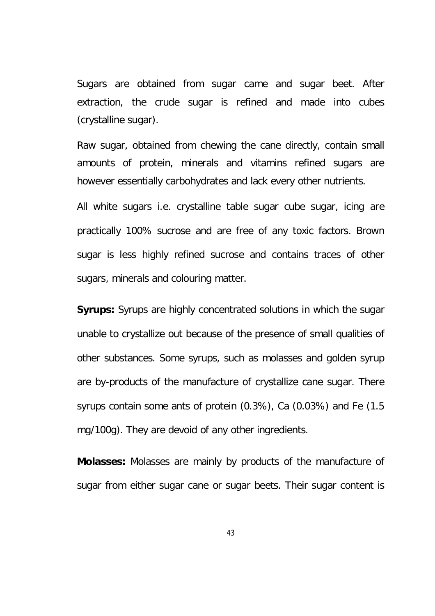Sugars are obtained from sugar came and sugar beet. After extraction, the crude sugar is refined and made into cubes (crystalline sugar).

Raw sugar, obtained from chewing the cane directly, contain small amounts of protein, minerals and vitamins refined sugars are however essentially carbohydrates and lack every other nutrients.

All white sugars i.e. crystalline table sugar cube sugar, icing are practically 100% sucrose and are free of any toxic factors. Brown sugar is less highly refined sucrose and contains traces of other sugars, minerals and colouring matter.

**Syrups:** Syrups are highly concentrated solutions in which the sugar unable to crystallize out because of the presence of small qualities of other substances. Some syrups, such as molasses and golden syrup are by-products of the manufacture of crystallize cane sugar. There syrups contain some ants of protein (0.3%), Ca (0.03%) and Fe (1.5 mg/100g). They are devoid of any other ingredients.

**Molasses:** Molasses are mainly by products of the manufacture of sugar from either sugar cane or sugar beets. Their sugar content is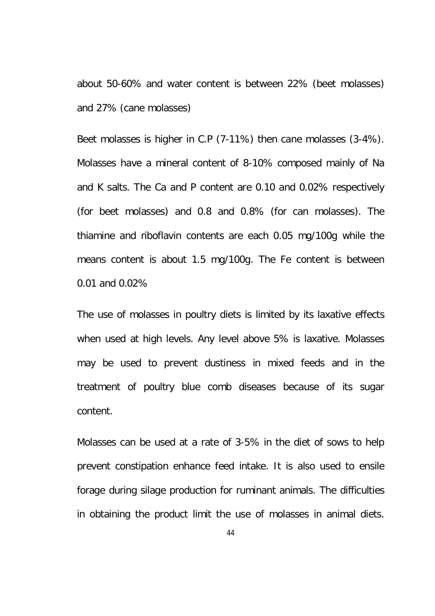about 50-60% and water content is between 22% (beet molasses) and 27% (cane molasses)

Beet molasses is higher in C.P (7-11%) then cane molasses (3-4%). Molasses have a mineral content of 8-10% composed mainly of Na and K salts. The Ca and P content are 0.10 and 0.02% respectively (for beet molasses) and 0.8 and 0.8% (for can molasses). The thiamine and riboflavin contents are each 0.05 mg/100g while the means content is about 1.5 mg/100g. The Fe content is between 0.01 and 0.02%

The use of molasses in poultry diets is limited by its laxative effects when used at high levels. Any level above 5% is laxative. Molasses may be used to prevent dustiness in mixed feeds and in the treatment of poultry blue comb diseases because of its sugar content.

Molasses can be used at a rate of 3-5% in the diet of sows to help prevent constipation enhance feed intake. It is also used to ensile forage during silage production for ruminant animals. The difficulties in obtaining the product limit the use of molasses in animal diets.

44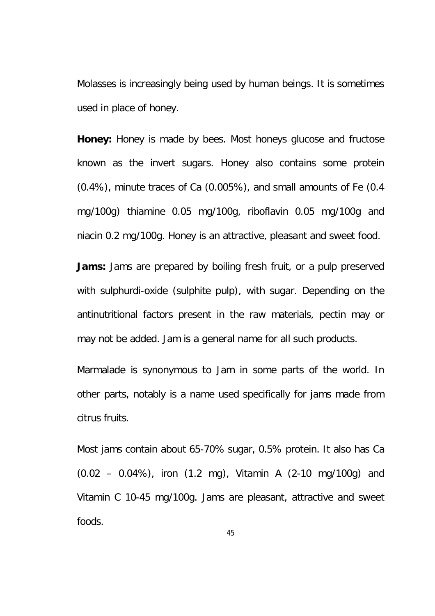Molasses is increasingly being used by human beings. It is sometimes used in place of honey.

**Honey:** Honey is made by bees. Most honeys glucose and fructose known as the invert sugars. Honey also contains some protein (0.4%), minute traces of Ca (0.005%), and small amounts of Fe (0.4 mg/100g) thiamine 0.05 mg/100g, riboflavin 0.05 mg/100g and niacin 0.2 mg/100g. Honey is an attractive, pleasant and sweet food.

**Jams:** Jams are prepared by boiling fresh fruit, or a pulp preserved with sulphurdi-oxide (sulphite pulp), with sugar. Depending on the antinutritional factors present in the raw materials, pectin may or may not be added. Jam is a general name for all such products.

Marmalade is synonymous to Jam in some parts of the world. In other parts, notably is a name used specifically for jams made from citrus fruits.

Most jams contain about 65-70% sugar, 0.5% protein. It also has Ca (0.02 – 0.04%), iron (1.2 mg), Vitamin A (2-10 mg/100g) and Vitamin C 10-45 mg/100g. Jams are pleasant, attractive and sweet foods.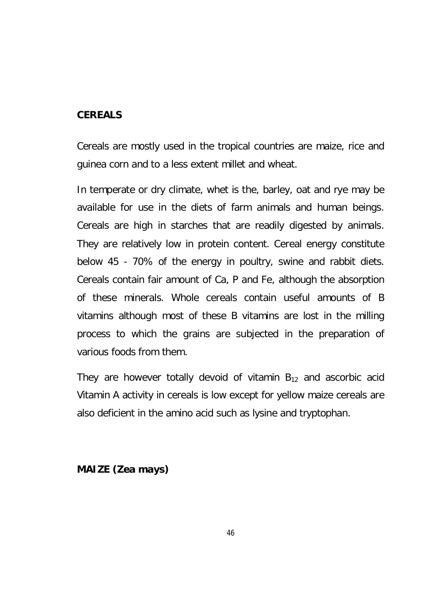### **CEREALS**

Cereals are mostly used in the tropical countries are maize, rice and guinea corn and to a less extent millet and wheat.

In temperate or dry climate, whet is the, barley, oat and rye may be available for use in the diets of farm animals and human beings. Cereals are high in starches that are readily digested by animals. They are relatively low in protein content. Cereal energy constitute below 45 - 70% of the energy in poultry, swine and rabbit diets. Cereals contain fair amount of Ca, P and Fe, although the absorption of these minerals. Whole cereals contain useful amounts of B vitamins although most of these B vitamins are lost in the milling process to which the grains are subjected in the preparation of various foods from them.

They are however totally devoid of vitamin  $B_{12}$  and ascorbic acid Vitamin A activity in cereals is low except for yellow maize cereals are also deficient in the amino acid such as lysine and tryptophan.

**MAIZE (Zea mays)**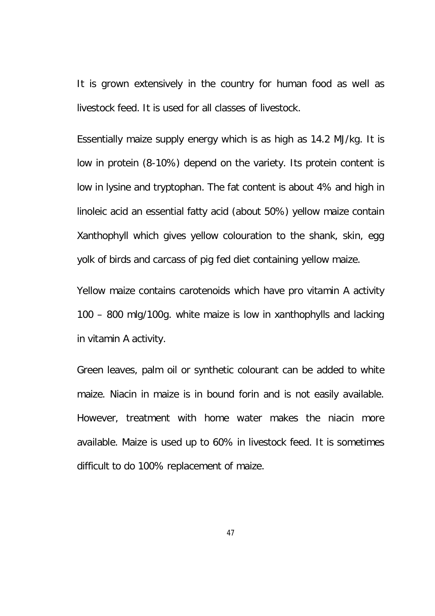It is grown extensively in the country for human food as well as livestock feed. It is used for all classes of livestock.

Essentially maize supply energy which is as high as 14.2 MJ/kg. It is low in protein (8-10%) depend on the variety. Its protein content is low in lysine and tryptophan. The fat content is about 4% and high in linoleic acid an essential fatty acid (about 50%) yellow maize contain Xanthophyll which gives yellow colouration to the shank, skin, egg yolk of birds and carcass of pig fed diet containing yellow maize.

Yellow maize contains carotenoids which have pro vitamin A activity 100 – 800 mlg/100g. white maize is low in xanthophylls and lacking in vitamin A activity.

Green leaves, palm oil or synthetic colourant can be added to white maize. Niacin in maize is in bound forin and is not easily available. However, treatment with home water makes the niacin more available. Maize is used up to 60% in livestock feed. It is sometimes difficult to do 100% replacement of maize.

47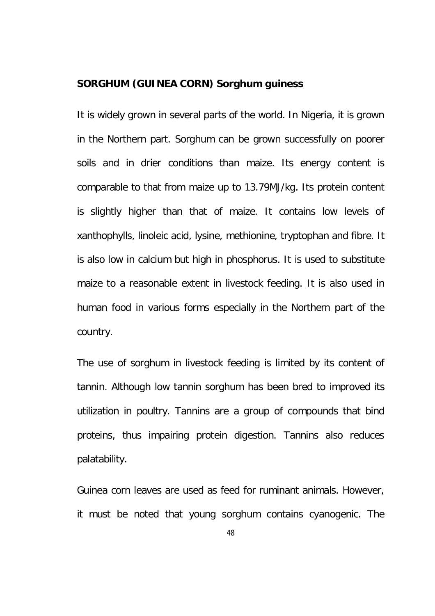#### **SORGHUM (GUINEA CORN) Sorghum guiness**

It is widely grown in several parts of the world. In Nigeria, it is grown in the Northern part. Sorghum can be grown successfully on poorer soils and in drier conditions than maize. Its energy content is comparable to that from maize up to 13.79MJ/kg. Its protein content is slightly higher than that of maize. It contains low levels of xanthophylls, linoleic acid, lysine, methionine, tryptophan and fibre. It is also low in calcium but high in phosphorus. It is used to substitute maize to a reasonable extent in livestock feeding. It is also used in human food in various forms especially in the Northern part of the country.

The use of sorghum in livestock feeding is limited by its content of tannin. Although low tannin sorghum has been bred to improved its utilization in poultry. Tannins are a group of compounds that bind proteins, thus impairing protein digestion. Tannins also reduces palatability.

Guinea corn leaves are used as feed for ruminant animals. However, it must be noted that young sorghum contains cyanogenic. The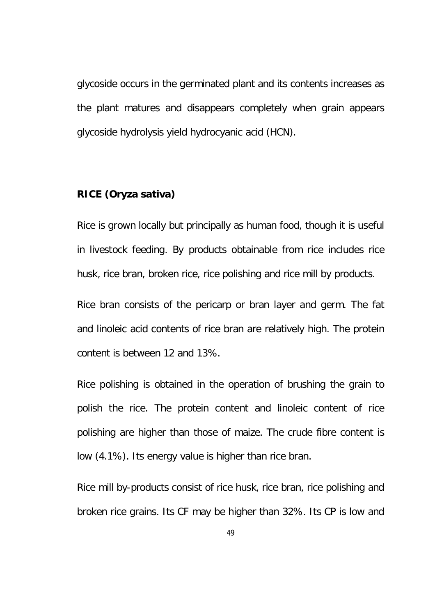glycoside occurs in the germinated plant and its contents increases as the plant matures and disappears completely when grain appears glycoside hydrolysis yield hydrocyanic acid (HCN).

### **RICE (***Oryza sativa***)**

Rice is grown locally but principally as human food, though it is useful in livestock feeding. By products obtainable from rice includes rice husk, rice bran, broken rice, rice polishing and rice mill by products.

Rice bran consists of the pericarp or bran layer and germ. The fat and linoleic acid contents of rice bran are relatively high. The protein content is between 12 and 13%.

Rice polishing is obtained in the operation of brushing the grain to polish the rice. The protein content and linoleic content of rice polishing are higher than those of maize. The crude fibre content is low (4.1%). Its energy value is higher than rice bran.

Rice mill by-products consist of rice husk, rice bran, rice polishing and broken rice grains. Its CF may be higher than 32%. Its CP is low and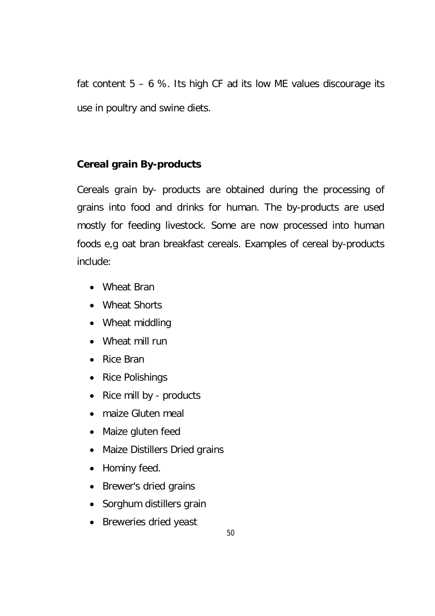fat content  $5 - 6$  %. Its high CF ad its low ME values discourage its use in poultry and swine diets.

## **Cereal grain By-products**

Cereals grain by- products are obtained during the processing of grains into food and drinks for human. The by-products are used mostly for feeding livestock. Some are now processed into human foods e,g oat bran breakfast cereals. Examples of cereal by-products include:

- Wheat Bran
- Wheat Shorts
- Wheat middling
- Wheat mill run
- Rice Bran
- Rice Polishings
- Rice mill by products
- maize Gluten meal
- Maize gluten feed
- Maize Distillers Dried grains
- Hominy feed.
- Brewer's dried grains
- Sorghum distillers grain
- Breweries dried yeast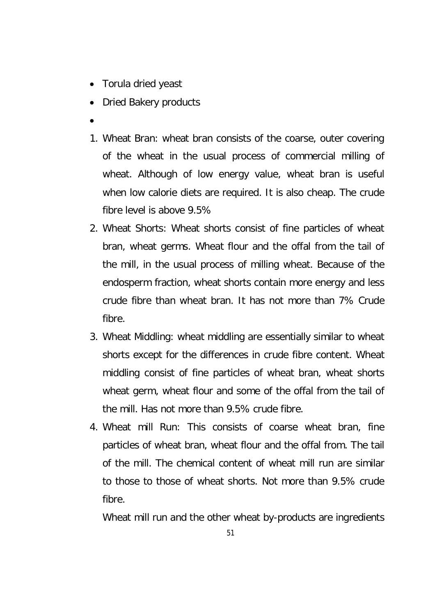- Torula dried yeast
- Dried Bakery products
- $\bullet$
- 1. Wheat Bran: wheat bran consists of the coarse, outer covering of the wheat in the usual process of commercial milling of wheat. Although of low energy value, wheat bran is useful when low calorie diets are required. It is also cheap. The crude fibre level is above 9.5%
- 2. Wheat Shorts: Wheat shorts consist of fine particles of wheat bran, wheat germs. Wheat flour and the offal from the tail of the mill, in the usual process of milling wheat. Because of the endosperm fraction, wheat shorts contain more energy and less crude fibre than wheat bran. It has not more than 7% Crude fibre.
- 3. Wheat Middling: wheat middling are essentially similar to wheat shorts except for the differences in crude fibre content. Wheat middling consist of fine particles of wheat bran, wheat shorts wheat germ, wheat flour and some of the offal from the tail of the mill. Has not more than 9.5% crude fibre.
- 4. Wheat mill Run: This consists of coarse wheat bran, fine particles of wheat bran, wheat flour and the offal from. The tail of the mill. The chemical content of wheat mill run are similar to those to those of wheat shorts. Not more than 9.5% crude fibre.

Wheat mill run and the other wheat by-products are ingredients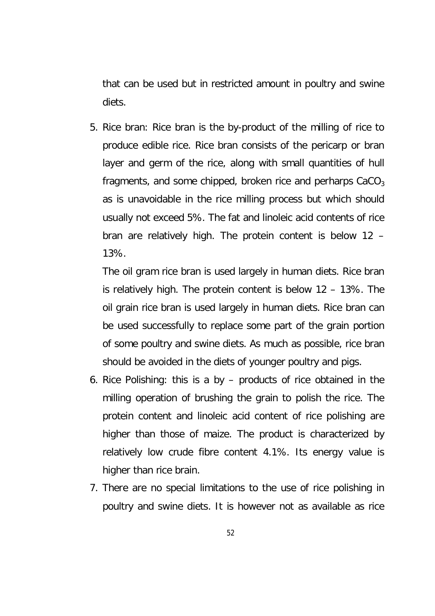that can be used but in restricted amount in poultry and swine diets.

5. Rice bran: Rice bran is the by-product of the milling of rice to produce edible rice. Rice bran consists of the pericarp or bran layer and germ of the rice, along with small quantities of hull fragments, and some chipped, broken rice and perharps  $CaCO<sub>3</sub>$ as is unavoidable in the rice milling process but which should usually not exceed 5%. The fat and linoleic acid contents of rice bran are relatively high. The protein content is below 12 – 13%.

The oil gram rice bran is used largely in human diets. Rice bran is relatively high. The protein content is below 12 – 13%. The oil grain rice bran is used largely in human diets. Rice bran can be used successfully to replace some part of the grain portion of some poultry and swine diets. As much as possible, rice bran should be avoided in the diets of younger poultry and pigs.

- 6. Rice Polishing: this is a by products of rice obtained in the milling operation of brushing the grain to polish the rice. The protein content and linoleic acid content of rice polishing are higher than those of maize. The product is characterized by relatively low crude fibre content 4.1%. Its energy value is higher than rice brain.
- 7. There are no special limitations to the use of rice polishing in poultry and swine diets. It is however not as available as rice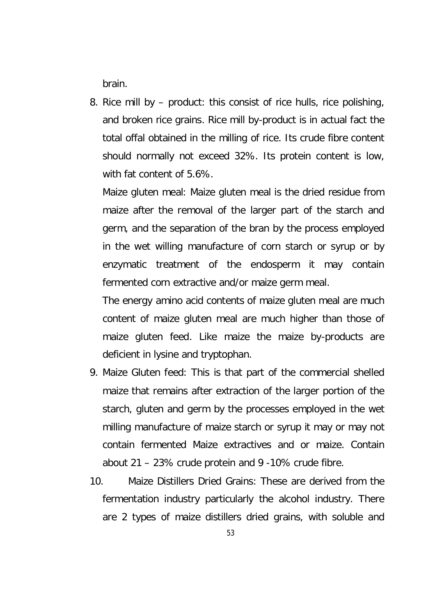brain.

8. Rice mill by – product: this consist of rice hulls, rice polishing, and broken rice grains. Rice mill by-product is in actual fact the total offal obtained in the milling of rice. Its crude fibre content should normally not exceed 32%. Its protein content is low, with fat content of 5.6%.

Maize gluten meal: Maize gluten meal is the dried residue from maize after the removal of the larger part of the starch and germ, and the separation of the bran by the process employed in the wet willing manufacture of corn starch or syrup or by enzymatic treatment of the endosperm it may contain fermented corn extractive and/or maize germ meal.

The energy amino acid contents of maize gluten meal are much content of maize gluten meal are much higher than those of maize gluten feed. Like maize the maize by-products are deficient in lysine and tryptophan.

- 9. Maize Gluten feed: This is that part of the commercial shelled maize that remains after extraction of the larger portion of the starch, gluten and germ by the processes employed in the wet milling manufacture of maize starch or syrup it may or may not contain fermented Maize extractives and or maize. Contain about 21 – 23% crude protein and 9 -10% crude fibre.
- 10. Maize Distillers Dried Grains: These are derived from the fermentation industry particularly the alcohol industry. There are 2 types of maize distillers dried grains, with soluble and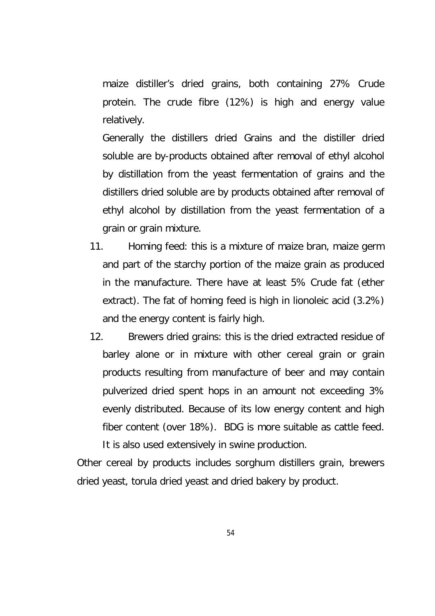maize distiller's dried grains, both containing 27% Crude protein. The crude fibre (12%) is high and energy value relatively.

Generally the distillers dried Grains and the distiller dried soluble are by-products obtained after removal of ethyl alcohol by distillation from the yeast fermentation of grains and the distillers dried soluble are by products obtained after removal of ethyl alcohol by distillation from the yeast fermentation of a grain or grain mixture.

- 11. Homing feed: this is a mixture of maize bran, maize germ and part of the starchy portion of the maize grain as produced in the manufacture. There have at least 5% Crude fat (ether extract). The fat of homing feed is high in lionoleic acid (3.2%) and the energy content is fairly high.
- 12. Brewers dried grains: this is the dried extracted residue of barley alone or in mixture with other cereal grain or grain products resulting from manufacture of beer and may contain pulverized dried spent hops in an amount not exceeding 3% evenly distributed. Because of its low energy content and high fiber content (over 18%). BDG is more suitable as cattle feed. It is also used extensively in swine production.

Other cereal by products includes sorghum distillers grain, brewers dried yeast, torula dried yeast and dried bakery by product.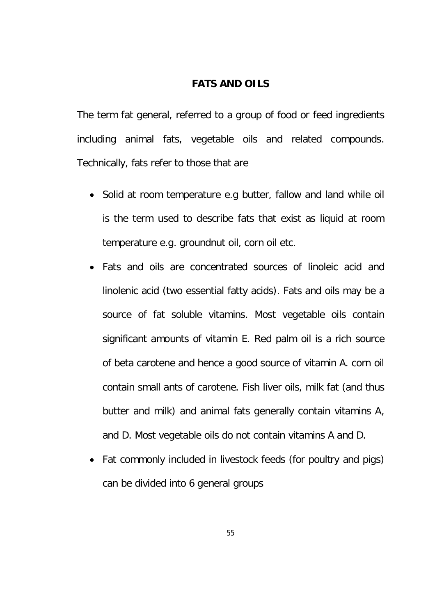### **FATS AND OILS**

The term fat general, referred to a group of food or feed ingredients including animal fats, vegetable oils and related compounds. Technically, fats refer to those that are

- Solid at room temperature e.g butter, fallow and land while oil is the term used to describe fats that exist as liquid at room temperature e.g. groundnut oil, corn oil etc.
- Fats and oils are concentrated sources of linoleic acid and linolenic acid (two essential fatty acids). Fats and oils may be a source of fat soluble vitamins. Most vegetable oils contain significant amounts of vitamin E. Red palm oil is a rich source of beta carotene and hence a good source of vitamin A. corn oil contain small ants of carotene. Fish liver oils, milk fat (and thus butter and milk) and animal fats generally contain vitamins A, and D. Most vegetable oils do not contain vitamins A and D.
- Fat commonly included in livestock feeds (for poultry and pigs) can be divided into 6 general groups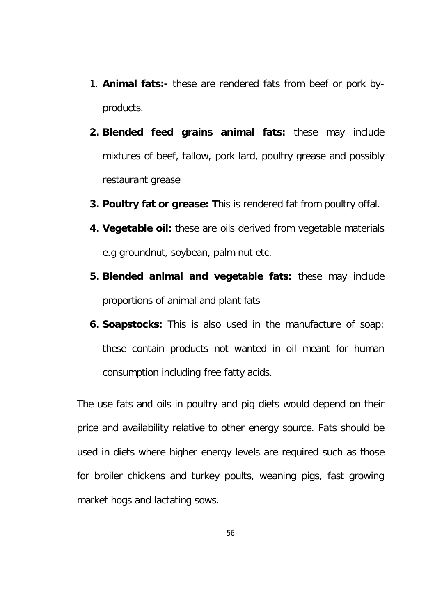- 1. **Animal fats:-** these are rendered fats from beef or pork byproducts.
- **2. Blended feed grains animal fats:** these may include mixtures of beef, tallow, pork lard, poultry grease and possibly restaurant grease
- **3. Poultry fat or grease: T**his is rendered fat from poultry offal.
- **4. Vegetable oil:** these are oils derived from vegetable materials e.g groundnut, soybean, palm nut etc.
- **5. Blended animal and vegetable fats:** these may include proportions of animal and plant fats
- **6. Soapstocks:** This is also used in the manufacture of soap: these contain products not wanted in oil meant for human consumption including free fatty acids.

The use fats and oils in poultry and pig diets would depend on their price and availability relative to other energy source. Fats should be used in diets where higher energy levels are required such as those for broiler chickens and turkey poults, weaning pigs, fast growing market hogs and lactating sows.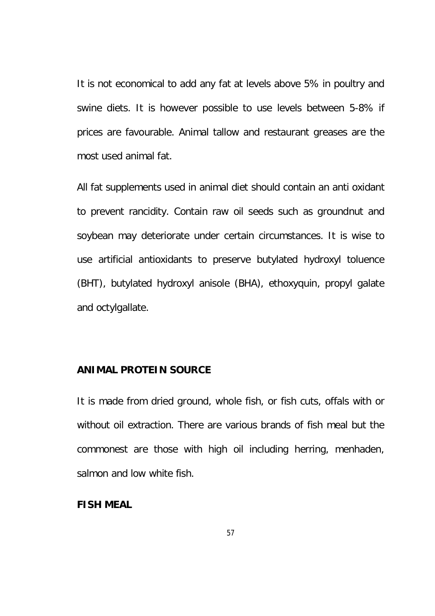It is not economical to add any fat at levels above 5% in poultry and swine diets. It is however possible to use levels between 5-8% if prices are favourable. Animal tallow and restaurant greases are the most used animal fat.

All fat supplements used in animal diet should contain an anti oxidant to prevent rancidity. Contain raw oil seeds such as groundnut and soybean may deteriorate under certain circumstances. It is wise to use artificial antioxidants to preserve butylated hydroxyl toluence (BHT), butylated hydroxyl anisole (BHA), ethoxyquin, propyl galate and octylgallate.

### **ANIMAL PROTEIN SOURCE**

It is made from dried ground, whole fish, or fish cuts, offals with or without oil extraction. There are various brands of fish meal but the commonest are those with high oil including herring, menhaden, salmon and low white fish.

#### **FISH MEAL**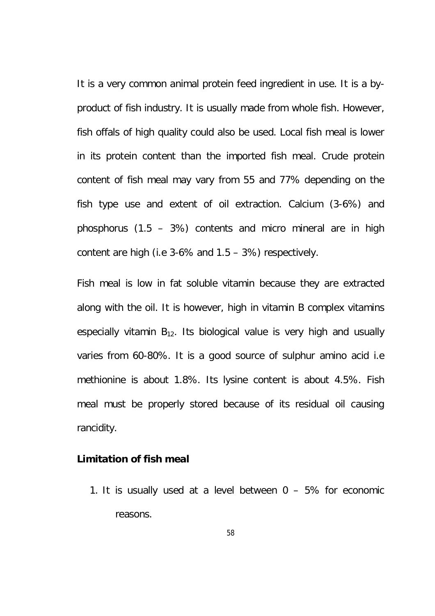It is a very common animal protein feed ingredient in use. It is a byproduct of fish industry. It is usually made from whole fish. However, fish offals of high quality could also be used. Local fish meal is lower in its protein content than the imported fish meal. Crude protein content of fish meal may vary from 55 and 77% depending on the fish type use and extent of oil extraction. Calcium (3-6%) and phosphorus (1.5 – 3%) contents and micro mineral are in high content are high (i.e 3-6% and 1.5 – 3%) respectively.

Fish meal is low in fat soluble vitamin because they are extracted along with the oil. It is however, high in vitamin B complex vitamins especially vitamin  $B_{12}$ . Its biological value is very high and usually varies from 60-80%. It is a good source of sulphur amino acid i.e methionine is about 1.8%. Its lysine content is about 4.5%. Fish meal must be properly stored because of its residual oil causing rancidity.

#### **Limitation of fish meal**

1. It is usually used at a level between  $0 - 5%$  for economic reasons.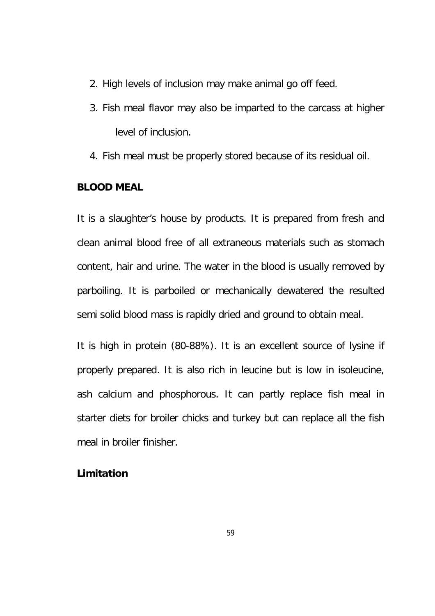- 2. High levels of inclusion may make animal go off feed.
- 3. Fish meal flavor may also be imparted to the carcass at higher level of inclusion.
- 4. Fish meal must be properly stored because of its residual oil.

#### **BLOOD MEAL**

It is a slaughter's house by products. It is prepared from fresh and clean animal blood free of all extraneous materials such as stomach content, hair and urine. The water in the blood is usually removed by parboiling. It is parboiled or mechanically dewatered the resulted semi solid blood mass is rapidly dried and ground to obtain meal.

It is high in protein (80-88%). It is an excellent source of lysine if properly prepared. It is also rich in leucine but is low in isoleucine, ash calcium and phosphorous. It can partly replace fish meal in starter diets for broiler chicks and turkey but can replace all the fish meal in broiler finisher.

### **Limitation**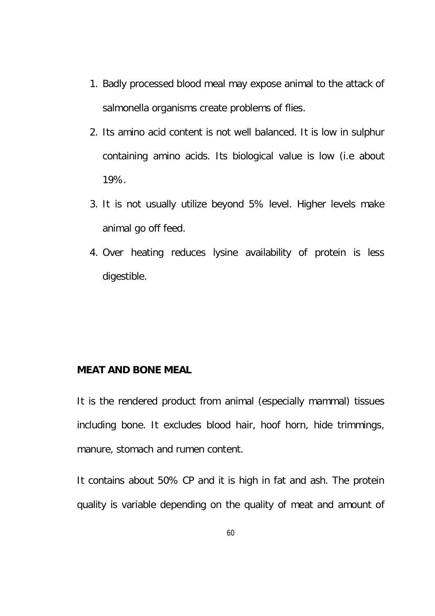- 1. Badly processed blood meal may expose animal to the attack of salmonella organisms create problems of flies.
- 2. Its amino acid content is not well balanced. It is low in sulphur containing amino acids. Its biological value is low (i.e about 19%.
- 3. It is not usually utilize beyond 5% level. Higher levels make animal go off feed.
- 4. Over heating reduces lysine availability of protein is less digestible.

### **MEAT AND BONE MEAL**

It is the rendered product from animal (especially mammal) tissues including bone. It excludes blood hair, hoof horn, hide trimmings, manure, stomach and rumen content.

It contains about 50% CP and it is high in fat and ash. The protein quality is variable depending on the quality of meat and amount of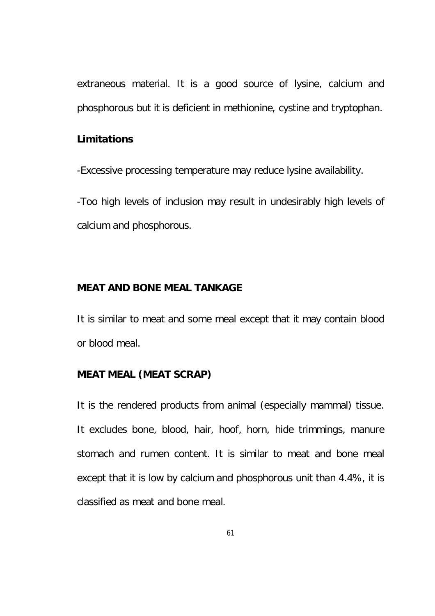extraneous material. It is a good source of lysine, calcium and phosphorous but it is deficient in methionine, cystine and tryptophan.

### **Limitations**

-Excessive processing temperature may reduce lysine availability.

-Too high levels of inclusion may result in undesirably high levels of calcium and phosphorous.

### **MEAT AND BONE MEAL TANKAGE**

It is similar to meat and some meal except that it may contain blood or blood meal.

## **MEAT MEAL (MEAT SCRAP)**

It is the rendered products from animal (especially mammal) tissue. It excludes bone, blood, hair, hoof, horn, hide trimmings, manure stomach and rumen content. It is similar to meat and bone meal except that it is low by calcium and phosphorous unit than 4.4%, it is classified as meat and bone meal.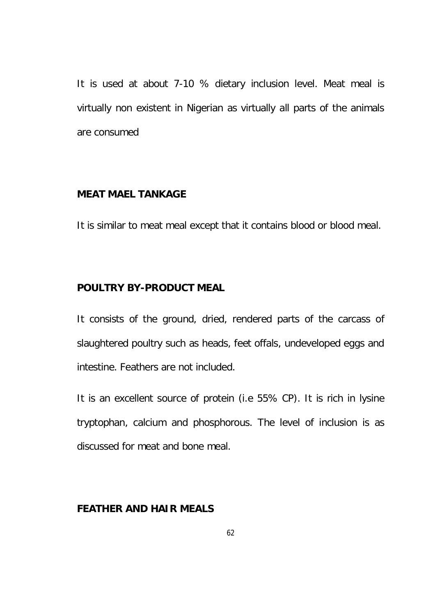It is used at about 7-10 % dietary inclusion level. Meat meal is virtually non existent in Nigerian as virtually all parts of the animals are consumed

### **MEAT MAEL TANKAGE**

It is similar to meat meal except that it contains blood or blood meal.

### **POULTRY BY-PRODUCT MEAL**

It consists of the ground, dried, rendered parts of the carcass of slaughtered poultry such as heads, feet offals, undeveloped eggs and intestine. Feathers are not included.

It is an excellent source of protein (i.e 55% CP). It is rich in lysine tryptophan, calcium and phosphorous. The level of inclusion is as discussed for meat and bone meal.

## **FEATHER AND HAIR MEALS**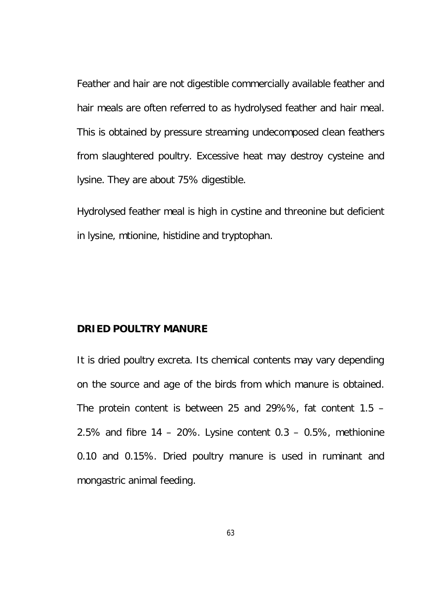Feather and hair are not digestible commercially available feather and hair meals are often referred to as hydrolysed feather and hair meal. This is obtained by pressure streaming undecomposed clean feathers from slaughtered poultry. Excessive heat may destroy cysteine and lysine. They are about 75% digestible.

Hydrolysed feather meal is high in cystine and threonine but deficient in lysine, mtionine, histidine and tryptophan.

#### **DRIED POULTRY MANURE**

It is dried poultry excreta. Its chemical contents may vary depending on the source and age of the birds from which manure is obtained. The protein content is between 25 and 29%%, fat content 1.5 – 2.5% and fibre  $14 - 20$ %. Lysine content  $0.3 - 0.5$ %, methionine 0.10 and 0.15%. Dried poultry manure is used in ruminant and mongastric animal feeding.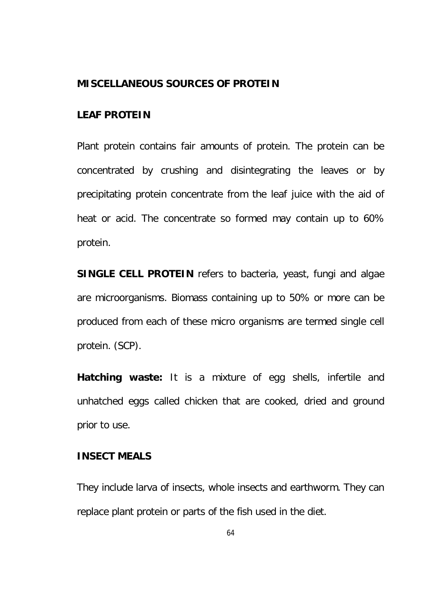### **MISCELLANEOUS SOURCES OF PROTEIN**

### **LEAF PROTEIN**

Plant protein contains fair amounts of protein. The protein can be concentrated by crushing and disintegrating the leaves or by precipitating protein concentrate from the leaf juice with the aid of heat or acid. The concentrate so formed may contain up to 60% protein.

**SINGLE CELL PROTEIN** refers to bacteria, yeast, fungi and algae are microorganisms. Biomass containing up to 50% or more can be produced from each of these micro organisms are termed single cell protein. (SCP).

**Hatching waste:** It is a mixture of egg shells, infertile and unhatched eggs called chicken that are cooked, dried and ground prior to use.

### **INSECT MEALS**

They include larva of insects, whole insects and earthworm. They can replace plant protein or parts of the fish used in the diet.

64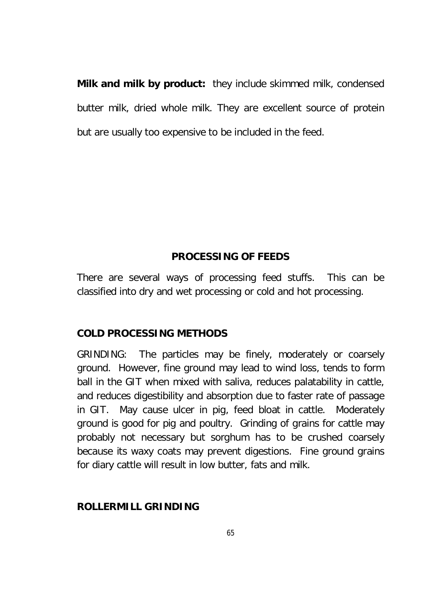**Milk and milk by product:** they include skimmed milk, condensed butter milk, dried whole milk. They are excellent source of protein but are usually too expensive to be included in the feed.

## **PROCESSING OF FEEDS**

There are several ways of processing feed stuffs. This can be classified into dry and wet processing or cold and hot processing.

## **COLD PROCESSING METHODS**

GRINDING: The particles may be finely, moderately or coarsely ground. However, fine ground may lead to wind loss, tends to form ball in the GIT when mixed with saliva, reduces palatability in cattle, and reduces digestibility and absorption due to faster rate of passage in GIT. May cause ulcer in pig, feed bloat in cattle. Moderately ground is good for pig and poultry. Grinding of grains for cattle may probably not necessary but sorghum has to be crushed coarsely because its waxy coats may prevent digestions. Fine ground grains for diary cattle will result in low butter, fats and milk.

## **ROLLERMILL GRINDING**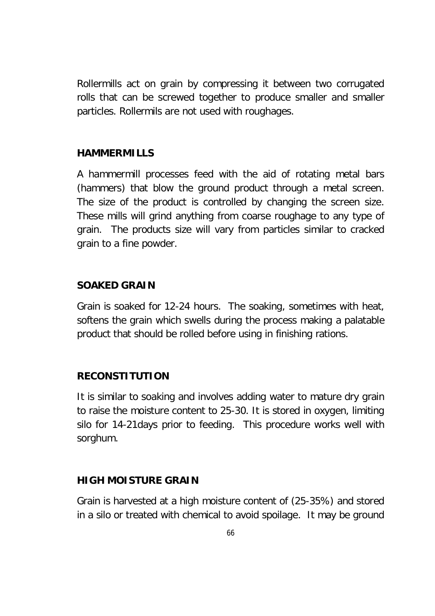Rollermills act on grain by compressing it between two corrugated rolls that can be screwed together to produce smaller and smaller particles. Rollermils are not used with roughages.

### **HAMMERMILLS**

A hammermill processes feed with the aid of rotating metal bars (hammers) that blow the ground product through a metal screen. The size of the product is controlled by changing the screen size. These mills will grind anything from coarse roughage to any type of grain. The products size will vary from particles similar to cracked grain to a fine powder.

## **SOAKED GRAIN**

Grain is soaked for 12-24 hours. The soaking, sometimes with heat, softens the grain which swells during the process making a palatable product that should be rolled before using in finishing rations.

## **RECONSTITUTION**

It is similar to soaking and involves adding water to mature dry grain to raise the moisture content to 25-30. It is stored in oxygen, limiting silo for 14-21days prior to feeding. This procedure works well with sorghum.

## **HIGH MOISTURE GRAIN**

Grain is harvested at a high moisture content of (25-35%) and stored in a silo or treated with chemical to avoid spoilage. It may be ground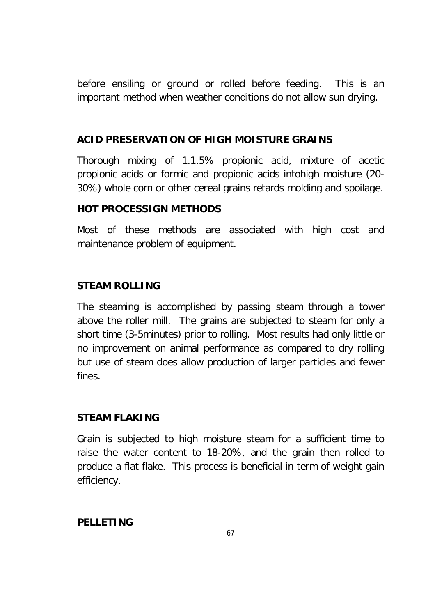before ensiling or ground or rolled before feeding. This is an important method when weather conditions do not allow sun drying.

## **ACID PRESERVATION OF HIGH MOISTURE GRAINS**

Thorough mixing of 1.1.5% propionic acid, mixture of acetic propionic acids or formic and propionic acids intohigh moisture (20- 30%) whole corn or other cereal grains retards molding and spoilage.

## **HOT PROCESSIGN METHODS**

Most of these methods are associated with high cost and maintenance problem of equipment.

## **STEAM ROLLING**

The steaming is accomplished by passing steam through a tower above the roller mill. The grains are subjected to steam for only a short time (3-5minutes) prior to rolling. Most results had only little or no improvement on animal performance as compared to dry rolling but use of steam does allow production of larger particles and fewer fines.

## **STEAM FLAKING**

Grain is subjected to high moisture steam for a sufficient time to raise the water content to 18-20%, and the grain then rolled to produce a flat flake. This process is beneficial in term of weight gain efficiency.

## **PELLETING**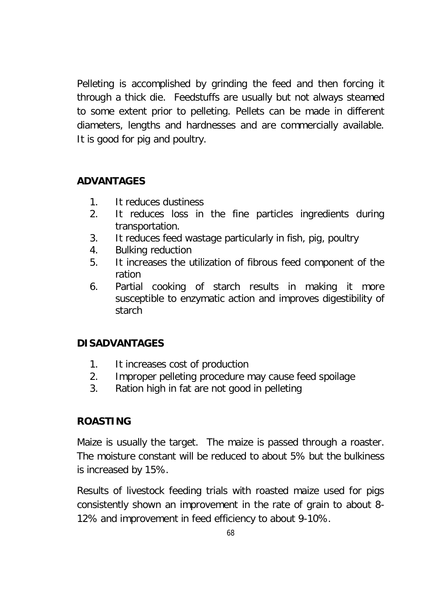Pelleting is accomplished by grinding the feed and then forcing it through a thick die. Feedstuffs are usually but not always steamed to some extent prior to pelleting. Pellets can be made in different diameters, lengths and hardnesses and are commercially available. It is good for pig and poultry.

## **ADVANTAGES**

- 1. It reduces dustiness
- 2. It reduces loss in the fine particles ingredients during transportation.
- 3. It reduces feed wastage particularly in fish, pig, poultry
- 4. Bulking reduction
- 5. It increases the utilization of fibrous feed component of the ration
- 6. Partial cooking of starch results in making it more susceptible to enzymatic action and improves digestibility of starch

# **DISADVANTAGES**

- 1. It increases cost of production
- 2. Improper pelleting procedure may cause feed spoilage
- 3. Ration high in fat are not good in pelleting

## **ROASTING**

Maize is usually the target. The maize is passed through a roaster. The moisture constant will be reduced to about 5% but the bulkiness is increased by 15%.

Results of livestock feeding trials with roasted maize used for pigs consistently shown an improvement in the rate of grain to about 8- 12% and improvement in feed efficiency to about 9-10%.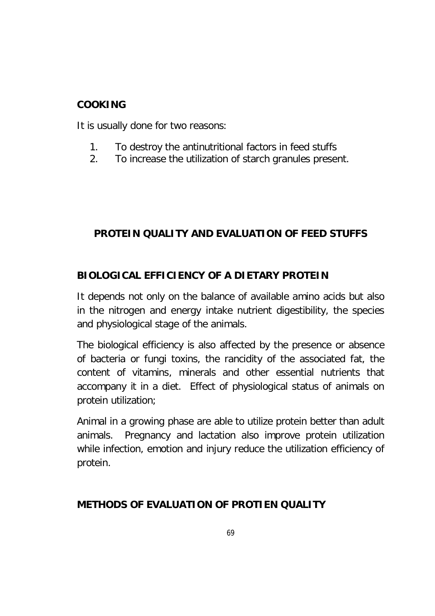## **COOKING**

It is usually done for two reasons:

- 1. To destroy the antinutritional factors in feed stuffs
- 2. To increase the utilization of starch granules present.

# **PROTEIN QUALITY AND EVALUATION OF FEED STUFFS**

# **BIOLOGICAL EFFICIENCY OF A DIETARY PROTEIN**

It depends not only on the balance of available amino acids but also in the nitrogen and energy intake nutrient digestibility, the species and physiological stage of the animals.

The biological efficiency is also affected by the presence or absence of bacteria or fungi toxins, the rancidity of the associated fat, the content of vitamins, minerals and other essential nutrients that accompany it in a diet. Effect of physiological status of animals on protein utilization;

Animal in a growing phase are able to utilize protein better than adult animals. Pregnancy and lactation also improve protein utilization while infection, emotion and injury reduce the utilization efficiency of protein.

# **METHODS OF EVALUATION OF PROTIEN QUALITY**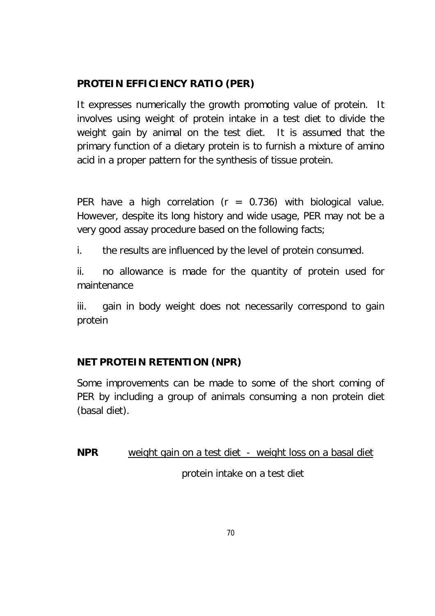# **PROTEIN EFFICIENCY RATIO (PER)**

It expresses numerically the growth promoting value of protein. It involves using weight of protein intake in a test diet to divide the weight gain by animal on the test diet. It is assumed that the primary function of a dietary protein is to furnish a mixture of amino acid in a proper pattern for the synthesis of tissue protein.

PER have a high correlation ( $r = 0.736$ ) with biological value. However, despite its long history and wide usage, PER may not be a very good assay procedure based on the following facts;

i. the results are influenced by the level of protein consumed.

ii. no allowance is made for the quantity of protein used for maintenance

iii. gain in body weight does not necessarily correspond to gain protein

# **NET PROTEIN RETENTION (NPR)**

Some improvements can be made to some of the short coming of PER by including a group of animals consuming a non protein diet (basal diet).

**NPR** weight gain on a test diet - weight loss on a basal diet protein intake on a test diet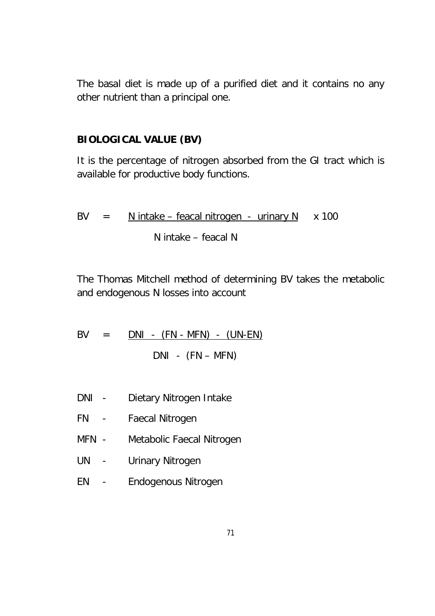The basal diet is made up of a purified diet and it contains no any other nutrient than a principal one.

## **BIOLOGICAL VALUE (BV)**

It is the percentage of nitrogen absorbed from the GI tract which is available for productive body functions.

$$
BV = N \t{.} \t{N} \t{.} \t{N} \t{.} \t{N} \t{.} \t{N} \t{.} \t{N} \t{.} \t{N} \t{.} \t{N} \t{.} \t{N} \t{.} \t{N} \t{.} \t{N} \t{.} \t{N} \t{.} \t{N}
$$

The Thomas Mitchell method of determining BV takes the metabolic and endogenous N losses into account

$$
BV = \underline{DNI - (FN - MFN) - (UN-EN)}
$$
  

$$
DNI - (FN - MFN)
$$

- DNI Dietary Nitrogen Intake
- FN Faecal Nitrogen
- MFN Metabolic Faecal Nitrogen
- UN Urinary Nitrogen
- EN Endogenous Nitrogen